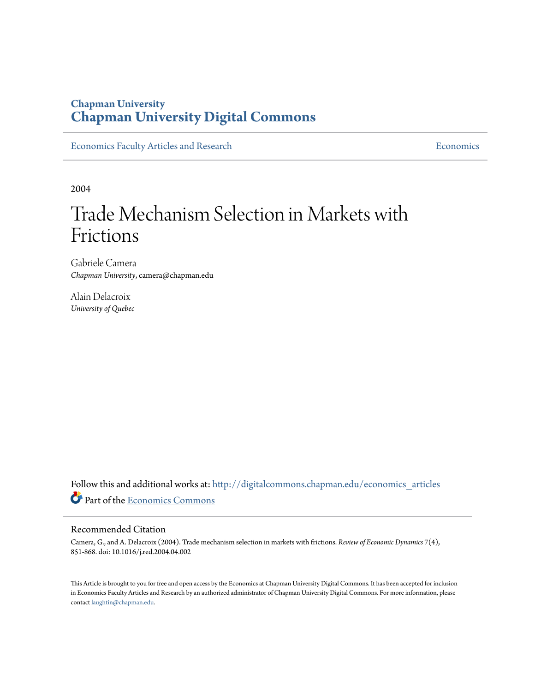### **Chapman University [Chapman University Digital Commons](http://digitalcommons.chapman.edu?utm_source=digitalcommons.chapman.edu%2Feconomics_articles%2F75&utm_medium=PDF&utm_campaign=PDFCoverPages)**

[Economics Faculty Articles and Research](http://digitalcommons.chapman.edu/economics_articles?utm_source=digitalcommons.chapman.edu%2Feconomics_articles%2F75&utm_medium=PDF&utm_campaign=PDFCoverPages) **[Economics](http://digitalcommons.chapman.edu/economics?utm_source=digitalcommons.chapman.edu%2Feconomics_articles%2F75&utm_medium=PDF&utm_campaign=PDFCoverPages)** Economics

2004

# Trade Mechanism Selection in Markets with Frictions

Gabriele Camera *Chapman University*, camera@chapman.edu

Alain Delacroix *University of Quebec*

Follow this and additional works at: [http://digitalcommons.chapman.edu/economics\\_articles](http://digitalcommons.chapman.edu/economics_articles?utm_source=digitalcommons.chapman.edu%2Feconomics_articles%2F75&utm_medium=PDF&utm_campaign=PDFCoverPages) Part of the [Economics Commons](http://network.bepress.com/hgg/discipline/340?utm_source=digitalcommons.chapman.edu%2Feconomics_articles%2F75&utm_medium=PDF&utm_campaign=PDFCoverPages)

#### Recommended Citation

Camera, G., and A. Delacroix (2004). Trade mechanism selection in markets with frictions. *Review of Economic Dynamics* 7(4), 851-868. doi: 10.1016/j.red.2004.04.002

This Article is brought to you for free and open access by the Economics at Chapman University Digital Commons. It has been accepted for inclusion in Economics Faculty Articles and Research by an authorized administrator of Chapman University Digital Commons. For more information, please contact [laughtin@chapman.edu](mailto:laughtin@chapman.edu).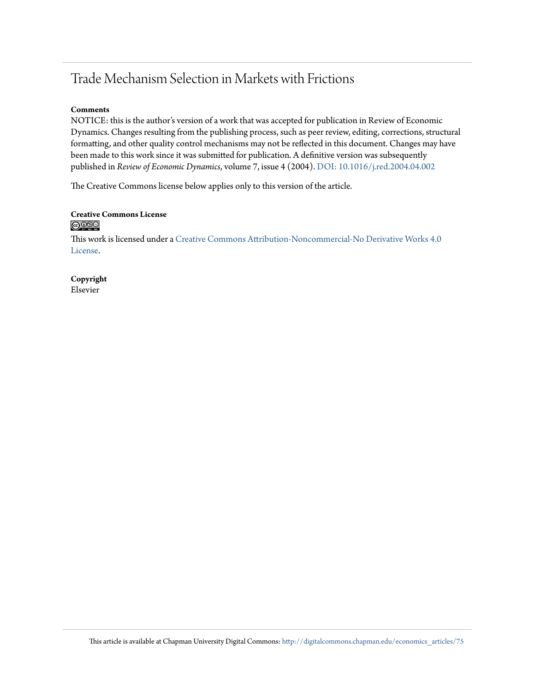## Trade Mechanism Selection in Markets with Frictions

#### **Comments**

NOTICE: this is the author's version of a work that was accepted for publication in Review of Economic Dynamics. Changes resulting from the publishing process, such as peer review, editing, corrections, structural formatting, and other quality control mechanisms may not be reflected in this document. Changes may have been made to this work since it was submitted for publication. A definitive version was subsequently published in *Review of Economic Dynamics*, volume 7, issue 4 (2004). [DOI: 10.1016/j.red.2004.04.002](http://dx.doi.org/10.1016/j.red.2004.04.002)

The Creative Commons license below applies only to this version of the article.

# **Creative Commons License**

This work is licensed under a [Creative Commons Attribution-Noncommercial-No Derivative Works 4.0](http://creativecommons.org/licenses/by-nc-nd/4.0/) [License.](http://creativecommons.org/licenses/by-nc-nd/4.0/)

**Copyright** Elsevier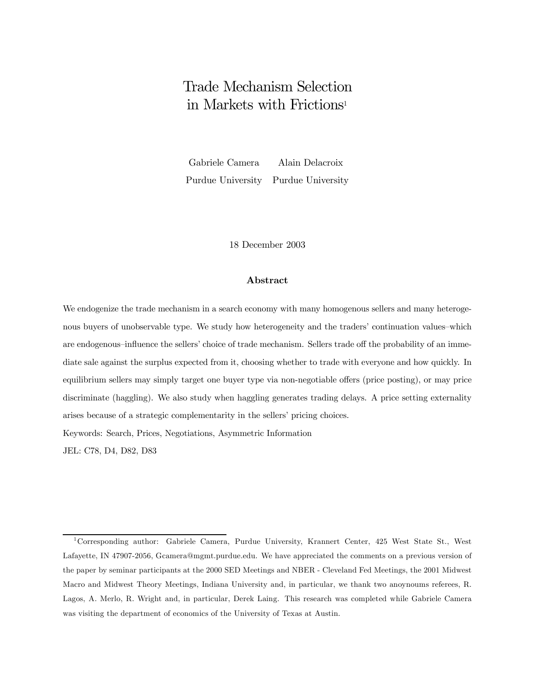## Trade Mechanism Selection in Markets with Frictions1

Gabriele Camera Alain Delacroix Purdue University Purdue University

18 December 2003

#### Abstract

We endogenize the trade mechanism in a search economy with many homogenous sellers and many heterogenous buyers of unobservable type. We study how heterogeneity and the traders' continuation values–which are endogenous–influence the sellers' choice of trade mechanism. Sellers trade off the probability of an immediate sale against the surplus expected from it, choosing whether to trade with everyone and how quickly. In equilibrium sellers may simply target one buyer type via non-negotiable offers (price posting), or may price discriminate (haggling). We also study when haggling generates trading delays. A price setting externality arises because of a strategic complementarity in the sellers' pricing choices. Keywords: Search, Prices, Negotiations, Asymmetric Information

JEL: C78, D4, D82, D83

<sup>1</sup>Corresponding author: Gabriele Camera, Purdue University, Krannert Center, 425 West State St., West Lafayette, IN 47907-2056, Gcamera@mgmt.purdue.edu. We have appreciated the comments on a previous version of the paper by seminar participants at the 2000 SED Meetings and NBER - Cleveland Fed Meetings, the 2001 Midwest Macro and Midwest Theory Meetings, Indiana University and, in particular, we thank two anoynoums referees, R. Lagos, A. Merlo, R. Wright and, in particular, Derek Laing. This research was completed while Gabriele Camera was visiting the department of economics of the University of Texas at Austin.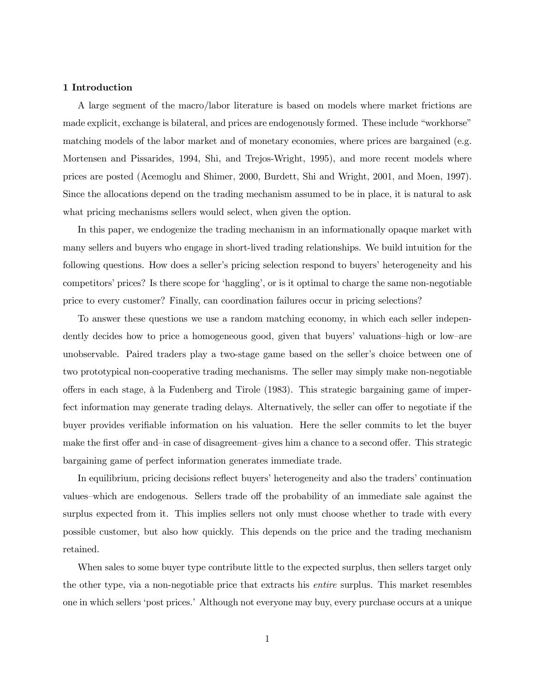#### 1 Introduction

A large segment of the macro/labor literature is based on models where market frictions are made explicit, exchange is bilateral, and prices are endogenously formed. These include "workhorse" matching models of the labor market and of monetary economies, where prices are bargained (e.g. Mortensen and Pissarides, 1994, Shi, and Trejos-Wright, 1995), and more recent models where prices are posted (Acemoglu and Shimer, 2000, Burdett, Shi and Wright, 2001, and Moen, 1997). Since the allocations depend on the trading mechanism assumed to be in place, it is natural to ask what pricing mechanisms sellers would select, when given the option.

In this paper, we endogenize the trading mechanism in an informationally opaque market with many sellers and buyers who engage in short-lived trading relationships. We build intuition for the following questions. How does a seller's pricing selection respond to buyers' heterogeneity and his competitorsí prices? Is there scope for ëhagglingí, or is it optimal to charge the same non-negotiable price to every customer? Finally, can coordination failures occur in pricing selections?

To answer these questions we use a random matching economy, in which each seller independently decides how to price a homogeneous good, given that buyers' valuations-high or low-are unobservable. Paired traders play a two-stage game based on the seller's choice between one of two prototypical non-cooperative trading mechanisms. The seller may simply make non-negotiable offers in each stage, à la Fudenberg and Tirole (1983). This strategic bargaining game of imperfect information may generate trading delays. Alternatively, the seller can offer to negotiate if the buyer provides verifiable information on his valuation. Here the seller commits to let the buyer make the first offer and-in case of disagreement-gives him a chance to a second offer. This strategic bargaining game of perfect information generates immediate trade.

In equilibrium, pricing decisions reflect buyers' heterogeneity and also the traders' continuation values–which are endogenous. Sellers trade off the probability of an immediate sale against the surplus expected from it. This implies sellers not only must choose whether to trade with every possible customer, but also how quickly. This depends on the price and the trading mechanism retained.

When sales to some buyer type contribute little to the expected surplus, then sellers target only the other type, via a non-negotiable price that extracts his entire surplus. This market resembles one in which sellers ëpost prices.í Although not everyone may buy, every purchase occurs at a unique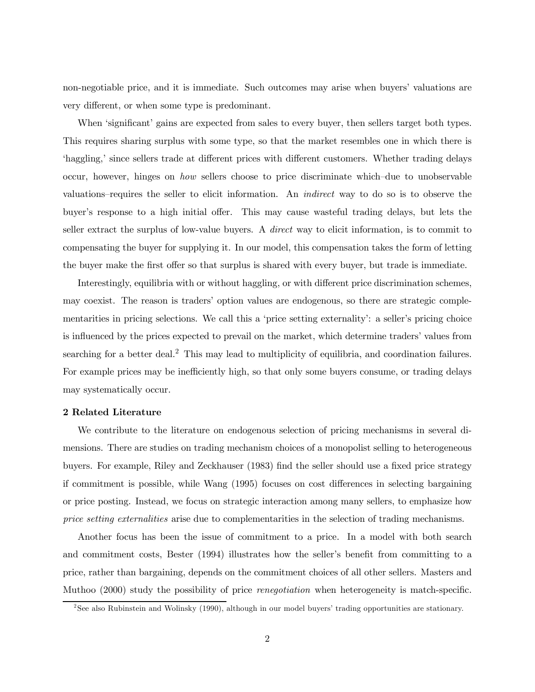non-negotiable price, and it is immediate. Such outcomes may arise when buyers' valuations are very different, or when some type is predominant.

When 'significant' gains are expected from sales to every buyer, then sellers target both types. This requires sharing surplus with some type, so that the market resembles one in which there is 'haggling,' since sellers trade at different prices with different customers. Whether trading delays occur, however, hinges on *how* sellers choose to price discriminate which-due to unobservable valuations–requires the seller to elicit information. An *indirect* way to do so is to observe the buyer's response to a high initial offer. This may cause wasteful trading delays, but lets the seller extract the surplus of low-value buyers. A *direct* way to elicit information, is to commit to compensating the buyer for supplying it. In our model, this compensation takes the form of letting the buyer make the first offer so that surplus is shared with every buyer, but trade is immediate.

Interestingly, equilibria with or without haggling, or with different price discrimination schemes, may coexist. The reason is tradersí option values are endogenous, so there are strategic complementarities in pricing selections. We call this a 'price setting externality': a seller's pricing choice is influenced by the prices expected to prevail on the market, which determine traders' values from searching for a better deal.<sup>2</sup> This may lead to multiplicity of equilibria, and coordination failures. For example prices may be inefficiently high, so that only some buyers consume, or trading delays may systematically occur.

#### 2 Related Literature

We contribute to the literature on endogenous selection of pricing mechanisms in several dimensions. There are studies on trading mechanism choices of a monopolist selling to heterogeneous buyers. For example, Riley and Zeckhauser (1983) find the seller should use a fixed price strategy if commitment is possible, while Wang (1995) focuses on cost differences in selecting bargaining or price posting. Instead, we focus on strategic interaction among many sellers, to emphasize how price setting externalities arise due to complementarities in the selection of trading mechanisms.

Another focus has been the issue of commitment to a price. In a model with both search and commitment costs, Bester (1994) illustrates how the seller's benefit from committing to a price, rather than bargaining, depends on the commitment choices of all other sellers. Masters and Muthoo (2000) study the possibility of price renegotiation when heterogeneity is match-specific.

<sup>&</sup>lt;sup>2</sup>See also Rubinstein and Wolinsky (1990), although in our model buyers' trading opportunities are stationary.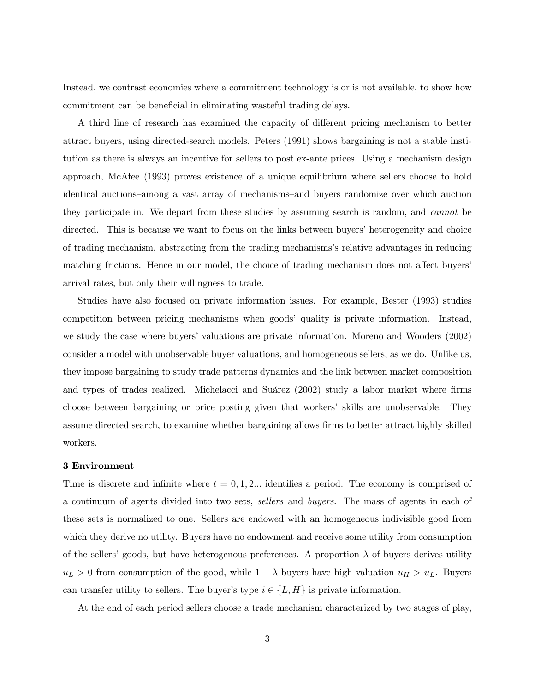Instead, we contrast economies where a commitment technology is or is not available, to show how commitment can be beneficial in eliminating wasteful trading delays.

A third line of research has examined the capacity of different pricing mechanism to better attract buyers, using directed-search models. Peters (1991) shows bargaining is not a stable institution as there is always an incentive for sellers to post ex-ante prices. Using a mechanism design approach, McAfee (1993) proves existence of a unique equilibrium where sellers choose to hold identical auctions–among a vast array of mechanisms–and buyers randomize over which auction they participate in. We depart from these studies by assuming search is random, and cannot be directed. This is because we want to focus on the links between buyers' heterogeneity and choice of trading mechanism, abstracting from the trading mechanismsís relative advantages in reducing matching frictions. Hence in our model, the choice of trading mechanism does not affect buyers arrival rates, but only their willingness to trade.

Studies have also focused on private information issues. For example, Bester (1993) studies competition between pricing mechanisms when goods' quality is private information. Instead, we study the case where buyers' valuations are private information. More no and Wooders (2002) consider a model with unobservable buyer valuations, and homogeneous sellers, as we do. Unlike us, they impose bargaining to study trade patterns dynamics and the link between market composition and types of trades realized. Michelacci and Suárez (2002) study a labor market where firms choose between bargaining or price posting given that workers' skills are unobservable. They assume directed search, to examine whether bargaining allows firms to better attract highly skilled workers.

#### 3 Environment

Time is discrete and infinite where  $t = 0, 1, 2...$  identifies a period. The economy is comprised of a continuum of agents divided into two sets, sellers and buyers. The mass of agents in each of these sets is normalized to one. Sellers are endowed with an homogeneous indivisible good from which they derive no utility. Buyers have no endowment and receive some utility from consumption of the sellers' goods, but have heterogenous preferences. A proportion  $\lambda$  of buyers derives utility  $u_L > 0$  from consumption of the good, while  $1 - \lambda$  buyers have high valuation  $u_H > u_L$ . Buyers can transfer utility to sellers. The buyer's type  $i \in \{L, H\}$  is private information.

At the end of each period sellers choose a trade mechanism characterized by two stages of play,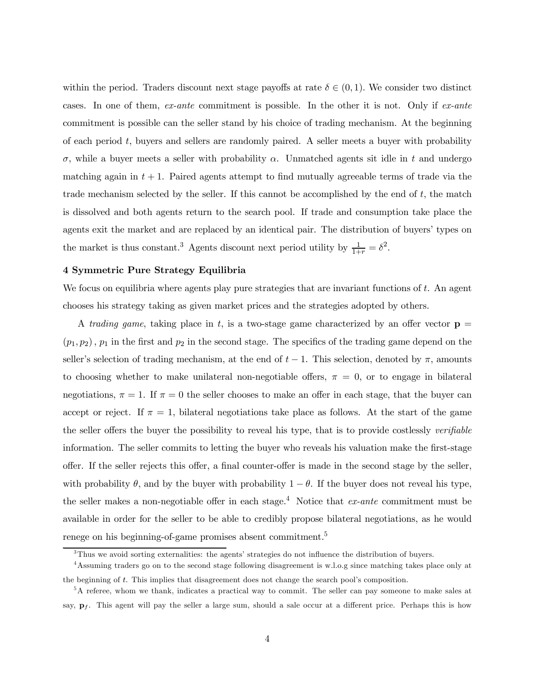within the period. Traders discount next stage payoffs at rate  $\delta \in (0,1)$ . We consider two distinct cases. In one of them, ex-ante commitment is possible. In the other it is not. Only if ex-ante commitment is possible can the seller stand by his choice of trading mechanism. At the beginning of each period  $t$ , buyers and sellers are randomly paired. A seller meets a buyer with probability σ, while a buyer meets a seller with probability α. Unmatched agents sit idle in t and undergo matching again in  $t + 1$ . Paired agents attempt to find mutually agreeable terms of trade via the trade mechanism selected by the seller. If this cannot be accomplished by the end of  $t$ , the match is dissolved and both agents return to the search pool. If trade and consumption take place the agents exit the market and are replaced by an identical pair. The distribution of buyers' types on the market is thus constant.<sup>3</sup> Agents discount next period utility by  $\frac{1}{1+r} = \delta^2$ .

#### 4 Symmetric Pure Strategy Equilibria

We focus on equilibria where agents play pure strategies that are invariant functions of t. An agent chooses his strategy taking as given market prices and the strategies adopted by others.

A trading game, taking place in t, is a two-stage game characterized by an offer vector  $\mathbf{p} =$  $(p_1, p_2)$ ,  $p_1$  in the first and  $p_2$  in the second stage. The specifics of the trading game depend on the seller's selection of trading mechanism, at the end of  $t - 1$ . This selection, denoted by  $\pi$ , amounts to choosing whether to make unilateral non-negotiable offers,  $\pi = 0$ , or to engage in bilateral negotiations,  $\pi = 1$ . If  $\pi = 0$  the seller chooses to make an offer in each stage, that the buyer can accept or reject. If  $\pi = 1$ , bilateral negotiations take place as follows. At the start of the game the seller offers the buyer the possibility to reveal his type, that is to provide costlessly verifiable information. The seller commits to letting the buyer who reveals his valuation make the first-stage offer. If the seller rejects this offer, a final counter-offer is made in the second stage by the seller, with probability  $\theta$ , and by the buyer with probability  $1 - \theta$ . If the buyer does not reveal his type, the seller makes a non-negotiable offer in each stage.<sup>4</sup> Notice that  $ex$ -ante commitment must be available in order for the seller to be able to credibly propose bilateral negotiations, as he would renege on his beginning-of-game promises absent commitment.<sup>5</sup>

 $3$ Thus we avoid sorting externalities: the agents' strategies do not influence the distribution of buyers.

<sup>4</sup>Assuming traders go on to the second stage following disagreement is w.l.o.g since matching takes place only at the beginning of t. This implies that disagreement does not change the search pool's composition.

<sup>&</sup>lt;sup>5</sup>A referee, whom we thank, indicates a practical way to commit. The seller can pay someone to make sales at say,  $\mathbf{p}_f$ . This agent will pay the seller a large sum, should a sale occur at a different price. Perhaps this is how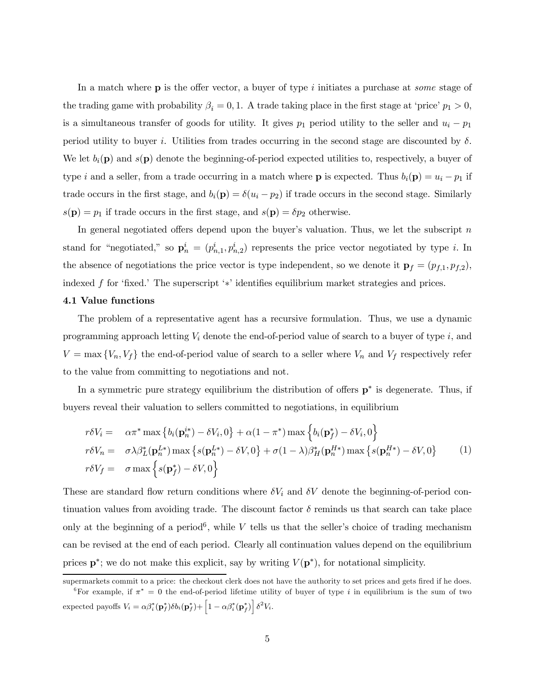In a match where  $\bf{p}$  is the offer vector, a buyer of type i initiates a purchase at *some* stage of the trading game with probability  $\beta_i = 0, 1$ . A trade taking place in the first stage at 'price'  $p_1 > 0$ , is a simultaneous transfer of goods for utility. It gives  $p_1$  period utility to the seller and  $u_i - p_1$ period utility to buyer i. Utilities from trades occurring in the second stage are discounted by  $\delta$ . We let  $b_i(\mathbf{p})$  and  $s(\mathbf{p})$  denote the beginning-of-period expected utilities to, respectively, a buyer of type i and a seller, from a trade occurring in a match where **p** is expected. Thus  $b_i(\mathbf{p}) = u_i - p_1$  if trade occurs in the first stage, and  $b_i(\mathbf{p}) = \delta(u_i - p_2)$  if trade occurs in the second stage. Similarly  $s(\mathbf{p}) = p_1$  if trade occurs in the first stage, and  $s(\mathbf{p}) = \delta p_2$  otherwise.

In general negotiated offers depend upon the buyer's valuation. Thus, we let the subscript  $n$ stand for "negotiated," so  $\mathbf{p}_n^i = (p_{n,1}^i, p_{n,2}^i)$  represents the price vector negotiated by type *i*. In the absence of negotiations the price vector is type independent, so we denote it  $\mathbf{p}_f = (p_{f,1}, p_{f,2}),$ indexed f for 'fixed.' The superscript ' $\ast$ ' identifies equilibrium market strategies and prices.

#### 4.1 Value functions

The problem of a representative agent has a recursive formulation. Thus, we use a dynamic programming approach letting  $V_i$  denote the end-of-period value of search to a buyer of type i, and  $V = \max\{V_n, V_f\}$  the end-of-period value of search to a seller where  $V_n$  and  $V_f$  respectively refer to the value from committing to negotiations and not.

In a symmetric pure strategy equilibrium the distribution of offers p∗ is degenerate. Thus, if buyers reveal their valuation to sellers committed to negotiations, in equilibrium

$$
r\delta V_i = \alpha \pi^* \max \left\{ b_i(\mathbf{p}_n^{i*}) - \delta V_i, 0 \right\} + \alpha (1 - \pi^*) \max \left\{ b_i(\mathbf{p}_f^*) - \delta V_i, 0 \right\}
$$
  
\n
$$
r\delta V_n = \sigma \lambda \beta_L^*(\mathbf{p}_n^{L*}) \max \left\{ s(\mathbf{p}_n^{L*}) - \delta V, 0 \right\} + \sigma (1 - \lambda) \beta_H^*(\mathbf{p}_n^{H*}) \max \left\{ s(\mathbf{p}_n^{H*}) - \delta V, 0 \right\} \tag{1}
$$
  
\n
$$
r\delta V_f = \sigma \max \left\{ s(\mathbf{p}_f^*) - \delta V, 0 \right\}
$$

These are standard flow return conditions where  $\delta V_i$  and  $\delta V$  denote the beginning-of-period continuation values from avoiding trade. The discount factor  $\delta$  reminds us that search can take place only at the beginning of a period<sup>6</sup>, while V tells us that the seller's choice of trading mechanism can be revised at the end of each period. Clearly all continuation values depend on the equilibrium prices  $p^*$ ; we do not make this explicit, say by writing  $V(p^*)$ , for notational simplicity.

supermarkets commit to a price: the checkout clerk does not have the authority to set prices and gets fired if he does. <sup>6</sup>For example, if  $\pi^* = 0$  the end-of-period lifetime utility of buyer of type i in equilibrium is the sum of two

expected payoffs  $V_i = \alpha \beta_i^*(\mathbf{p}_f^*) \delta b_i(\mathbf{p}_f^*) + \left[1 - \alpha \beta_i^*(\mathbf{p}_f^*)\right] \delta^2 V_i$ .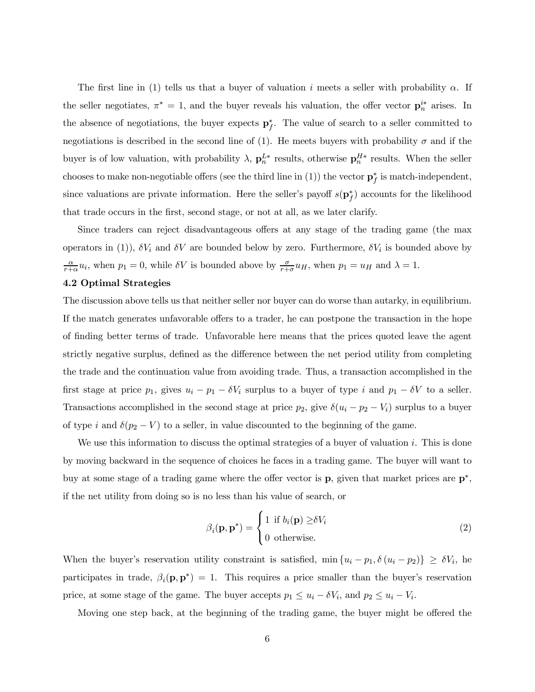The first line in (1) tells us that a buyer of valuation i meets a seller with probability  $\alpha$ . If the seller negotiates,  $\pi^* = 1$ , and the buyer reveals his valuation, the offer vector  $\mathbf{p}_n^{i*}$  arises. In the absence of negotiations, the buyer expects  $\mathbf{p}_f^*$ . The value of search to a seller committed to negotiations is described in the second line of (1). He meets buyers with probability  $\sigma$  and if the buyer is of low valuation, with probability  $\lambda$ ,  $\mathbf{p}_n^{L*}$  results, otherwise  $\mathbf{p}_n^{H*}$  results. When the seller chooses to make non-negotiable offers (see the third line in (1)) the vector  $\mathbf{p}_f^*$  is match-independent, since valuations are private information. Here the seller's payoff  $s(\mathbf{p}_f^*)$  accounts for the likelihood that trade occurs in the first, second stage, or not at all, as we later clarify.

Since traders can reject disadvantageous offers at any stage of the trading game (the max operators in (1)),  $\delta V_i$  and  $\delta V$  are bounded below by zero. Furthermore,  $\delta V_i$  is bounded above by  $\frac{\alpha}{r+\alpha}u_i$ , when  $p_1=0$ , while  $\delta V$  is bounded above by  $\frac{\sigma}{r+\sigma}u_H$ , when  $p_1=u_H$  and  $\lambda=1$ .

#### 4.2 Optimal Strategies

The discussion above tells us that neither seller nor buyer can do worse than autarky, in equilibrium. If the match generates unfavorable offers to a trader, he can postpone the transaction in the hope of finding better terms of trade. Unfavorable here means that the prices quoted leave the agent strictly negative surplus, defined as the difference between the net period utility from completing the trade and the continuation value from avoiding trade. Thus, a transaction accomplished in the first stage at price  $p_1$ , gives  $u_i - p_1 - \delta V_i$  surplus to a buyer of type i and  $p_1 - \delta V$  to a seller. Transactions accomplished in the second stage at price  $p_2$ , give  $\delta(u_i - p_2 - V_i)$  surplus to a buyer of type i and  $\delta(p_2 - V)$  to a seller, in value discounted to the beginning of the game.

We use this information to discuss the optimal strategies of a buyer of valuation  $i$ . This is done by moving backward in the sequence of choices he faces in a trading game. The buyer will want to buy at some stage of a trading game where the offer vector is  $\bf{p}$ , given that market prices are  $\bf{p}^*,$ if the net utility from doing so is no less than his value of search, or

$$
\beta_i(\mathbf{p}, \mathbf{p}^*) = \begin{cases} 1 & \text{if } b_i(\mathbf{p}) \ge \delta V_i \\ 0 & \text{otherwise.} \end{cases}
$$
 (2)

When the buyer's reservation utility constraint is satisfied,  $\min\{u_i - p_1, \delta(u_i - p_2)\} \ge \delta V_i$ , he participates in trade,  $\beta_i(\mathbf{p}, \mathbf{p}^*)=1$ . This requires a price smaller than the buyer's reservation price, at some stage of the game. The buyer accepts  $p_1 \le u_i - \delta V_i$ , and  $p_2 \le u_i - V_i$ .

Moving one step back, at the beginning of the trading game, the buyer might be offered the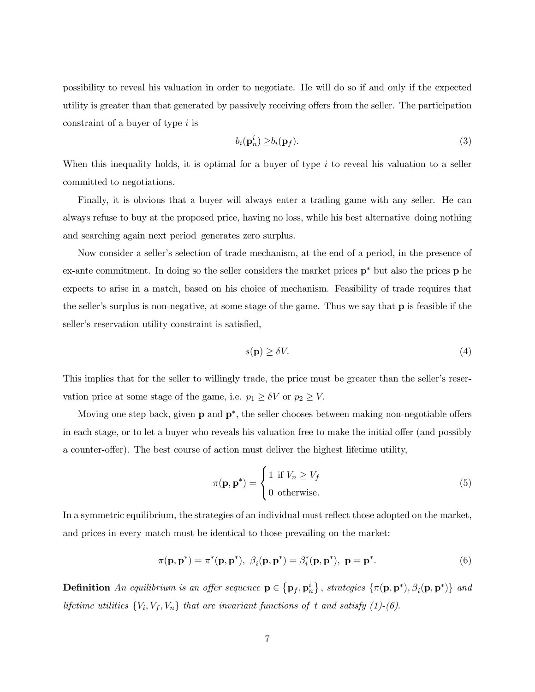possibility to reveal his valuation in order to negotiate. He will do so if and only if the expected utility is greater than that generated by passively receiving offers from the seller. The participation constraint of a buyer of type i is

$$
b_i(\mathbf{p}_n^i) \ge b_i(\mathbf{p}_f). \tag{3}
$$

When this inequality holds, it is optimal for a buyer of type  $i$  to reveal his valuation to a seller committed to negotiations.

Finally, it is obvious that a buyer will always enter a trading game with any seller. He can always refuse to buy at the proposed price, having no loss, while his best alternative–doing nothing and searching again next period-generates zero surplus.

Now consider a seller's selection of trade mechanism, at the end of a period, in the presence of ex-ante commitment. In doing so the seller considers the market prices p∗ but also the prices p he expects to arise in a match, based on his choice of mechanism. Feasibility of trade requires that the seller's surplus is non-negative, at some stage of the game. Thus we say that  $\bf{p}$  is feasible if the seller's reservation utility constraint is satisfied,

$$
s(\mathbf{p}) \ge \delta V. \tag{4}
$$

This implies that for the seller to willingly trade, the price must be greater than the seller's reservation price at some stage of the game, i.e.  $p_1 \ge \delta V$  or  $p_2 \ge V$ .

Moving one step back, given  $p$  and  $p^*$ , the seller chooses between making non-negotiable offers in each stage, or to let a buyer who reveals his valuation free to make the initial offer (and possibly a counter-offer). The best course of action must deliver the highest lifetime utility,

$$
\pi(\mathbf{p}, \mathbf{p}^*) = \begin{cases} 1 & \text{if } V_n \ge V_f \\ 0 & \text{otherwise.} \end{cases}
$$
 (5)

In a symmetric equilibrium, the strategies of an individual must reflect those adopted on the market, and prices in every match must be identical to those prevailing on the market:

$$
\pi(\mathbf{p}, \mathbf{p}^*) = \pi^*(\mathbf{p}, \mathbf{p}^*), \ \beta_i(\mathbf{p}, \mathbf{p}^*) = \beta_i^*(\mathbf{p}, \mathbf{p}^*), \ \mathbf{p} = \mathbf{p}^*.
$$

**Definition** An equilibrium is an offer sequence  $\mathbf{p} \in \{ \mathbf{p}_f, \mathbf{p}_n^i \}$ , strategies  $\{ \pi(\mathbf{p}, \mathbf{p}^*), \beta_i(\mathbf{p}, \mathbf{p}^*) \}$  and lifetime utilities  $\{V_i, V_f, V_n\}$  that are invariant functions of t and satisfy (1)-(6).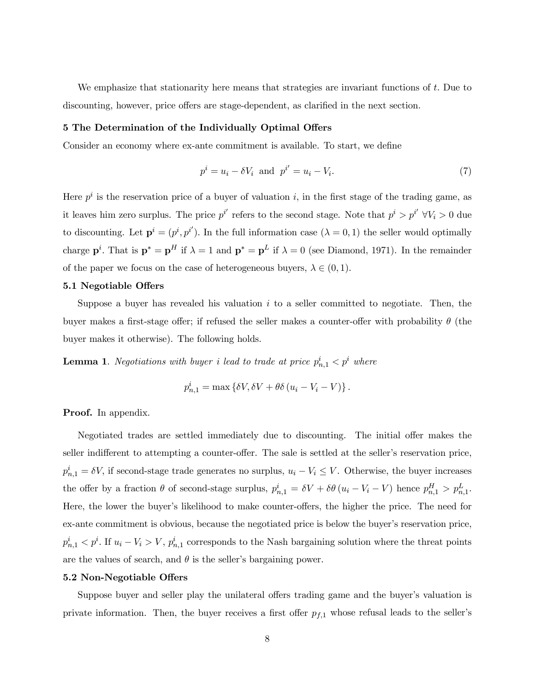We emphasize that stationarity here means that strategies are invariant functions of t. Due to discounting, however, price offers are stage-dependent, as clarified in the next section.

#### 5 The Determination of the Individually Optimal Offers

Consider an economy where ex-ante commitment is available. To start, we define

$$
p^i = u_i - \delta V_i \quad \text{and} \quad p^{i'} = u_i - V_i. \tag{7}
$$

Here  $p^i$  is the reservation price of a buyer of valuation i, in the first stage of the trading game, as it leaves him zero surplus. The price  $p^{i'}$  refers to the second stage. Note that  $p^i > p^{i'} \forall V_i > 0$  due to discounting. Let  $\mathbf{p}^i = (p^i, p^{i'})$ . In the full information case  $(\lambda = 0, 1)$  the seller would optimally charge  $\mathbf{p}^i$ . That is  $\mathbf{p}^* = \mathbf{p}^H$  if  $\lambda = 1$  and  $\mathbf{p}^* = \mathbf{p}^L$  if  $\lambda = 0$  (see Diamond, 1971). In the remainder of the paper we focus on the case of heterogeneous buyers,  $\lambda \in (0,1)$ .

#### 5.1 Negotiable Offers

Suppose a buyer has revealed his valuation  $i$  to a seller committed to negotiate. Then, the buyer makes a first-stage offer; if refused the seller makes a counter-offer with probability  $\theta$  (the buyer makes it otherwise). The following holds.

**Lemma 1.** Negotiations with buyer i lead to trade at price  $p_{n,1}^i < p^i$  where

$$
p_{n,1}^i = \max \left\{ \delta V, \delta V + \theta \delta \left( u_i - V_i - V \right) \right\}.
$$

Proof. In appendix.

Negotiated trades are settled immediately due to discounting. The initial offer makes the seller indifferent to attempting a counter-offer. The sale is settled at the seller's reservation price,  $p_{n,1}^i = \delta V$ , if second-stage trade generates no surplus,  $u_i - V_i \leq V$ . Otherwise, the buyer increases the offer by a fraction  $\theta$  of second-stage surplus,  $p_{n,1}^i = \delta V + \delta \theta (u_i - V_i - V)$  hence  $p_{n,1}^H > p_{n,1}^L$ . Here, the lower the buyer's likelihood to make counter-offers, the higher the price. The need for ex-ante commitment is obvious, because the negotiated price is below the buyer's reservation price,  $p_{n,1}^i < p^i$ . If  $u_i - V_i > V$ ,  $p_{n,1}^i$  corresponds to the Nash bargaining solution where the threat points are the values of search, and  $\theta$  is the seller's bargaining power.

#### 5.2 Non-Negotiable Offers

Suppose buyer and seller play the unilateral offers trading game and the buyer's valuation is private information. Then, the buyer receives a first offer  $p_{f,1}$  whose refusal leads to the seller's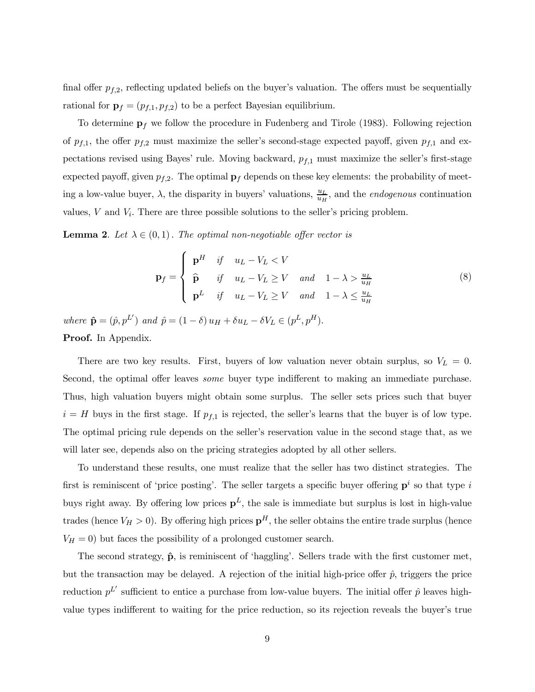final offer  $p_{f,2}$ , reflecting updated beliefs on the buyer's valuation. The offers must be sequentially rational for  $\mathbf{p}_f = (p_{f,1}, p_{f,2})$  to be a perfect Bayesian equilibrium.

To determine  $p_f$  we follow the procedure in Fudenberg and Tirole (1983). Following rejection of  $p_{f,1}$ , the offer  $p_{f,2}$  must maximize the seller's second-stage expected payoff, given  $p_{f,1}$  and expectations revised using Bayes' rule. Moving backward,  $p_{f,1}$  must maximize the seller's first-stage expected payoff, given  $p_{f,2}$ . The optimal  $\mathbf{p}_f$  depends on these key elements: the probability of meeting a low-value buyer,  $\lambda$ , the disparity in buyers' valuations,  $\frac{u_L}{u_H}$ , and the *endogenous* continuation values,  $V$  and  $V_i$ . There are three possible solutions to the seller's pricing problem.

**Lemma 2.** Let  $\lambda \in (0,1)$ . The optimal non-negotiable offer vector is

$$
\mathbf{p}_f = \begin{cases} \n\mathbf{p}^H & \text{if} \quad u_L - V_L < V \\ \n\hat{\mathbf{p}} & \text{if} \quad u_L - V_L \ge V \quad \text{and} \quad 1 - \lambda > \frac{u_L}{u_H} \\ \n\mathbf{p}^L & \text{if} \quad u_L - V_L \ge V \quad \text{and} \quad 1 - \lambda \le \frac{u_L}{u_H} \n\end{cases} \tag{8}
$$

where  $\hat{\mathbf{p}} = (\hat{p}, p^L)$  and  $\hat{p} = (1 - \delta) u_H + \delta u_L - \delta V_L \in (p^L, p^H)$ . Proof. In Appendix.

There are two key results. First, buyers of low valuation never obtain surplus, so  $V_L = 0$ . Second, the optimal offer leaves some buyer type indifferent to making an immediate purchase. Thus, high valuation buyers might obtain some surplus. The seller sets prices such that buyer  $i = H$  buys in the first stage. If  $p_{f,1}$  is rejected, the seller's learns that the buyer is of low type. The optimal pricing rule depends on the seller's reservation value in the second stage that, as we will later see, depends also on the pricing strategies adopted by all other sellers.

To understand these results, one must realize that the seller has two distinct strategies. The first is reminiscent of 'price posting'. The seller targets a specific buyer offering  $p<sup>i</sup>$  so that type i buys right away. By offering low prices  $p<sup>L</sup>$ , the sale is immediate but surplus is lost in high-value trades (hence  $V_H > 0$ ). By offering high prices  $p^H$ , the seller obtains the entire trade surplus (hence  $V_H = 0$ ) but faces the possibility of a prolonged customer search.

The second strategy,  $\hat{p}$ , is reminiscent of 'haggling'. Sellers trade with the first customer met, but the transaction may be delayed. A rejection of the initial high-price offer  $\hat{p}$ , triggers the price reduction  $p^L'$  sufficient to entice a purchase from low-value buyers. The initial offer  $\hat{p}$  leaves highvalue types indifferent to waiting for the price reduction, so its rejection reveals the buyer's true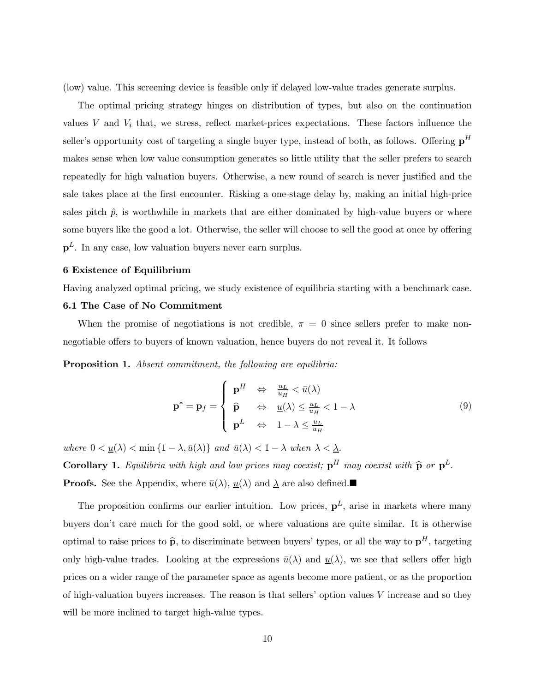(low) value. This screening device is feasible only if delayed low-value trades generate surplus.

The optimal pricing strategy hinges on distribution of types, but also on the continuation values  $V$  and  $V_i$  that, we stress, reflect market-prices expectations. These factors influence the seller's opportunity cost of targeting a single buyer type, instead of both, as follows. Offering  $p<sup>H</sup>$ makes sense when low value consumption generates so little utility that the seller prefers to search repeatedly for high valuation buyers. Otherwise, a new round of search is never justified and the sale takes place at the first encounter. Risking a one-stage delay by, making an initial high-price sales pitch  $\hat{p}$ , is worthwhile in markets that are either dominated by high-value buyers or where some buyers like the good a lot. Otherwise, the seller will choose to sell the good at once by offering  $p<sup>L</sup>$ . In any case, low valuation buyers never earn surplus.

#### 6 Existence of Equilibrium

Having analyzed optimal pricing, we study existence of equilibria starting with a benchmark case.

#### 6.1 The Case of No Commitment

When the promise of negotiations is not credible,  $\pi = 0$  since sellers prefer to make nonnegotiable offers to buyers of known valuation, hence buyers do not reveal it. It follows

Proposition 1. Absent commitment, the following are equilibria:

$$
\mathbf{p}^* = \mathbf{p}_f = \begin{cases} \mathbf{p}^H & \Leftrightarrow \frac{u_L}{u_H} < \bar{u}(\lambda) \\ \hat{\mathbf{p}} & \Leftrightarrow \frac{u(\lambda)}{u_H} < 1 - \lambda \\ \mathbf{p}^L & \Leftrightarrow \frac{1 - \lambda \le \frac{u_L}{u_H}}{\lambda} \end{cases} \tag{9}
$$

where  $0 < \underline{u}(\lambda) < \min\{1 - \lambda, \bar{u}(\lambda)\}\$  and  $\bar{u}(\lambda) < 1 - \lambda$  when  $\lambda < \underline{\lambda}$ .

Corollary 1. Equilibria with high and low prices may coexist;  $p^H$  may coexist with  $\hat{p}$  or  $p^L$ . **Proofs.** See the Appendix, where  $\bar{u}(\lambda)$ ,  $\underline{u}(\lambda)$  and  $\underline{\lambda}$  are also defined.

The proposition confirms our earlier intuition. Low prices,  $p<sup>L</sup>$ , arise in markets where many buyers donít care much for the good sold, or where valuations are quite similar. It is otherwise optimal to raise prices to  $\hat{p}$ , to discriminate between buyers' types, or all the way to  $p^H$ , targeting only high-value trades. Looking at the expressions  $\bar{u}(\lambda)$  and  $\underline{u}(\lambda)$ , we see that sellers offer high prices on a wider range of the parameter space as agents become more patient, or as the proportion of high-valuation buyers increases. The reason is that sellers' option values  $V$  increase and so they will be more inclined to target high-value types.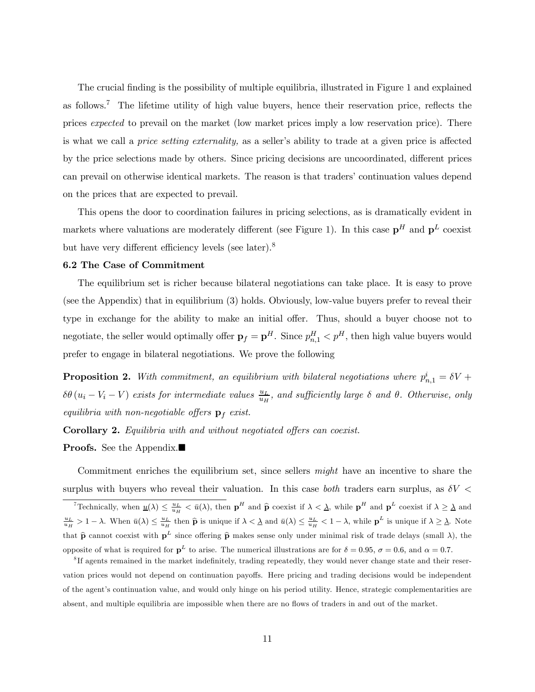The crucial finding is the possibility of multiple equilibria, illustrated in Figure 1 and explained as follows.<sup>7</sup> The lifetime utility of high value buyers, hence their reservation price, reflects the prices expected to prevail on the market (low market prices imply a low reservation price). There is what we call a *price setting externality*, as a seller's ability to trade at a given price is affected by the price selections made by others. Since pricing decisions are uncoordinated, different prices can prevail on otherwise identical markets. The reason is that traders' continuation values depend on the prices that are expected to prevail.

This opens the door to coordination failures in pricing selections, as is dramatically evident in markets where valuations are moderately different (see Figure 1). In this case  $\mathbf{p}^H$  and  $\mathbf{p}^L$  coexist but have very different efficiency levels (see later).<sup>8</sup>

#### 6.2 The Case of Commitment

The equilibrium set is richer because bilateral negotiations can take place. It is easy to prove (see the Appendix) that in equilibrium (3) holds. Obviously, low-value buyers prefer to reveal their type in exchange for the ability to make an initial offer. Thus, should a buyer choose not to negotiate, the seller would optimally offer  $\mathbf{p}_f = \mathbf{p}^H$ . Since  $p_{n,1}^H < p^H$ , then high value buyers would prefer to engage in bilateral negotiations. We prove the following

**Proposition 2.** With commitment, an equilibrium with bilateral negotiations where  $p_{n,1}^i = \delta V + \delta V$  $\delta\theta(u_i-V_i-V)$  exists for intermediate values  $\frac{u_L}{u_H}$ , and sufficiently large  $\delta$  and  $\theta$ . Otherwise, only equilibria with non-negotiable offers  $\mathbf{p}_f$  exist.

Corollary 2. Equilibria with and without negotiated offers can coexist.

**Proofs.** See the Appendix.■

Commitment enriches the equilibrium set, since sellers *might* have an incentive to share the surplus with buyers who reveal their valuation. In this case both traders earn surplus, as  $\delta V$  <

<sup>&</sup>lt;sup>7</sup>Technically, when  $\underline{u}(\lambda) \leq \frac{u_L}{u_H} < \overline{u}(\lambda)$ , then  $\mathbf{p}^H$  and  $\widehat{\mathbf{p}}$  coexist if  $\lambda \leq \underline{\lambda}$ , while  $\mathbf{p}^H$  and  $\mathbf{p}^L$  coexist if  $\lambda \geq \underline{\lambda}$  and  $\frac{u_L}{u_H} > 1 - \lambda$ . When  $\bar{u}(\lambda) \leq \frac{u_L}{u_H}$  then  $\hat{p}$  is unique if  $\lambda < \underline{\lambda}$  and  $\bar{u}(\lambda) \leq \frac{u_L}{u_H} < 1 - \lambda$ , while  $p^L$  is unique if  $\lambda \geq \underline{\lambda}$ . Note that  $\hat{\mathbf{p}}$  cannot coexist with  $\mathbf{p}^L$  since offering  $\hat{\mathbf{p}}$  makes sense only under minimal risk of trade delays (small  $\lambda$ ), the opposite of what is required for  $\mathbf{p}^L$  to arise. The numerical illustrations are for  $\delta = 0.95$ ,  $\sigma = 0.6$ , and  $\alpha = 0.7$ .

<sup>&</sup>lt;sup>8</sup>If agents remained in the market indefinitely, trading repeatedly, they would never change state and their reservation prices would not depend on continuation payoffs. Here pricing and trading decisions would be independent of the agent's continuation value, and would only hinge on his period utility. Hence, strategic complementarities are absent, and multiple equilibria are impossible when there are no flows of traders in and out of the market.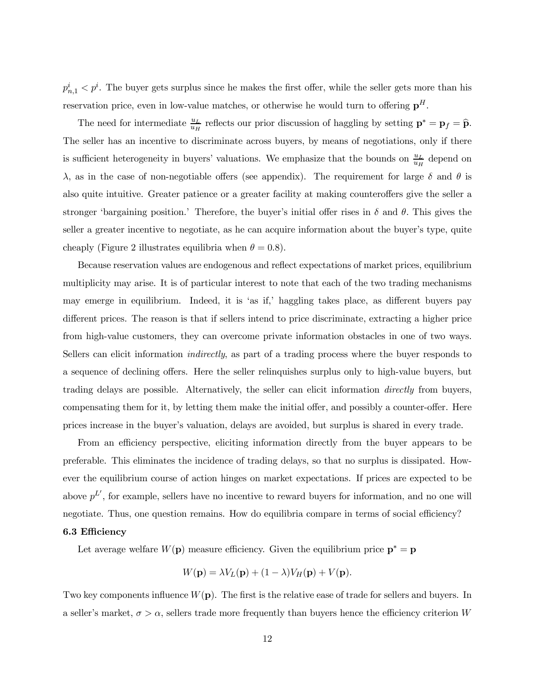$p_{n,1}^i < p^i$ . The buyer gets surplus since he makes the first offer, while the seller gets more than his reservation price, even in low-value matches, or otherwise he would turn to offering  $p<sup>H</sup>$ .

The need for intermediate  $\frac{u_L}{u_H}$  reflects our prior discussion of haggling by setting  $\mathbf{p}^* = \mathbf{p}_f = \widehat{\mathbf{p}}$ . The seller has an incentive to discriminate across buyers, by means of negotiations, only if there is sufficient heterogeneity in buyers' valuations. We emphasize that the bounds on  $\frac{u_L}{u_H}$  depend on λ, as in the case of non-negotiable offers (see appendix). The requirement for large δ and θ is also quite intuitive. Greater patience or a greater facility at making counteroffers give the seller a stronger 'bargaining position.' Therefore, the buyer's initial offer rises in  $\delta$  and  $\theta$ . This gives the seller a greater incentive to negotiate, as he can acquire information about the buyer's type, quite cheaply (Figure 2 illustrates equilibria when  $\theta = 0.8$ ).

Because reservation values are endogenous and reflect expectations of market prices, equilibrium multiplicity may arise. It is of particular interest to note that each of the two trading mechanisms may emerge in equilibrium. Indeed, it is 'as if,' haggling takes place, as different buyers pay different prices. The reason is that if sellers intend to price discriminate, extracting a higher price from high-value customers, they can overcome private information obstacles in one of two ways. Sellers can elicit information *indirectly*, as part of a trading process where the buyer responds to a sequence of declining offers. Here the seller relinquishes surplus only to high-value buyers, but trading delays are possible. Alternatively, the seller can elicit information directly from buyers, compensating them for it, by letting them make the initial offer, and possibly a counter-offer. Here prices increase in the buyerís valuation, delays are avoided, but surplus is shared in every trade.

From an efficiency perspective, eliciting information directly from the buyer appears to be preferable. This eliminates the incidence of trading delays, so that no surplus is dissipated. However the equilibrium course of action hinges on market expectations. If prices are expected to be above  $p^L'$ , for example, sellers have no incentive to reward buyers for information, and no one will negotiate. Thus, one question remains. How do equilibria compare in terms of social efficiency?

#### 6.3 Efficiency

Let average welfare  $W(\mathbf{p})$  measure efficiency. Given the equilibrium price  $\mathbf{p}^* = \mathbf{p}$ 

$$
W(\mathbf{p}) = \lambda V_L(\mathbf{p}) + (1 - \lambda)V_H(\mathbf{p}) + V(\mathbf{p}).
$$

Two key components influence  $W(\mathbf{p})$ . The first is the relative ease of trade for sellers and buyers. In a seller's market,  $\sigma > \alpha$ , sellers trade more frequently than buyers hence the efficiency criterion W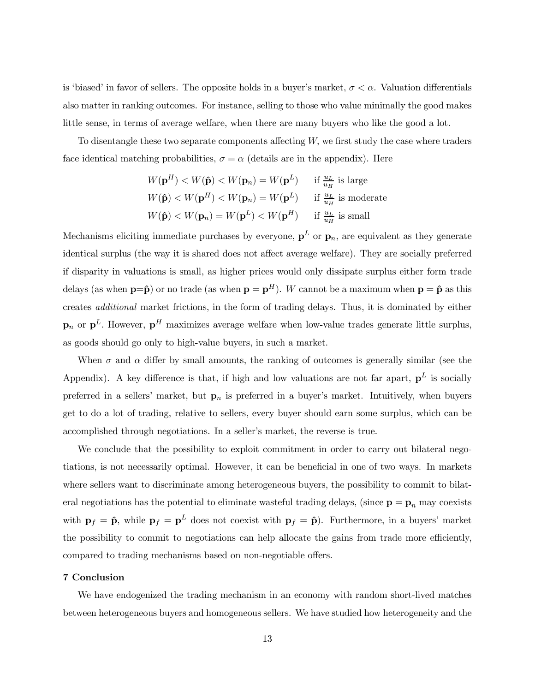is 'biased' in favor of sellers. The opposite holds in a buyer's market,  $\sigma < \alpha$ . Valuation differentials also matter in ranking outcomes. For instance, selling to those who value minimally the good makes little sense, in terms of average welfare, when there are many buyers who like the good a lot.

To disentangle these two separate components affecting  $W$ , we first study the case where traders face identical matching probabilities,  $\sigma = \alpha$  (details are in the appendix). Here

$$
W(\mathbf{p}^H) < W(\hat{\mathbf{p}}) < W(\mathbf{p}_n) = W(\mathbf{p}^L) \quad \text{if } \frac{u_L}{u_H} \text{ is large}
$$
\n
$$
W(\hat{\mathbf{p}}) < W(\mathbf{p}^H) < W(\mathbf{p}_n) = W(\mathbf{p}^L) \quad \text{if } \frac{u_L}{u_H} \text{ is moderate}
$$
\n
$$
W(\hat{\mathbf{p}}) < W(\mathbf{p}_n) = W(\mathbf{p}^L) < W(\mathbf{p}^H) \quad \text{if } \frac{u_L}{u_H} \text{ is small}
$$

Mechanisms eliciting immediate purchases by everyone,  $p^L$  or  $p_n$ , are equivalent as they generate identical surplus (the way it is shared does not affect average welfare). They are socially preferred if disparity in valuations is small, as higher prices would only dissipate surplus either form trade delays (as when  $p=p$ ) or no trade (as when  $p = p<sup>H</sup>$ ). W cannot be a maximum when  $p = \hat{p}$  as this creates additional market frictions, in the form of trading delays. Thus, it is dominated by either  $\mathbf{p}_n$  or  $\mathbf{p}^L$ . However,  $\mathbf{p}^H$  maximizes average welfare when low-value trades generate little surplus. as goods should go only to high-value buyers, in such a market.

When  $\sigma$  and  $\alpha$  differ by small amounts, the ranking of outcomes is generally similar (see the Appendix). A key difference is that, if high and low valuations are not far apart,  $p^L$  is socially preferred in a sellers' market, but  $\mathbf{p}_n$  is preferred in a buyer's market. Intuitively, when buyers get to do a lot of trading, relative to sellers, every buyer should earn some surplus, which can be accomplished through negotiations. In a seller's market, the reverse is true.

We conclude that the possibility to exploit commitment in order to carry out bilateral negotiations, is not necessarily optimal. However, it can be beneficial in one of two ways. In markets where sellers want to discriminate among heterogeneous buyers, the possibility to commit to bilateral negotiations has the potential to eliminate wasteful trading delays, (since  $\mathbf{p} = \mathbf{p}_n$  may coexists with  $\mathbf{p}_f = \hat{\mathbf{p}}$ , while  $\mathbf{p}_f = \mathbf{p}^L$  does not coexist with  $\mathbf{p}_f = \hat{\mathbf{p}}$ ). Furthermore, in a buyers' market the possibility to commit to negotiations can help allocate the gains from trade more efficiently, compared to trading mechanisms based on non-negotiable offers.

#### 7 Conclusion

We have endogenized the trading mechanism in an economy with random short-lived matches between heterogeneous buyers and homogeneous sellers. We have studied how heterogeneity and the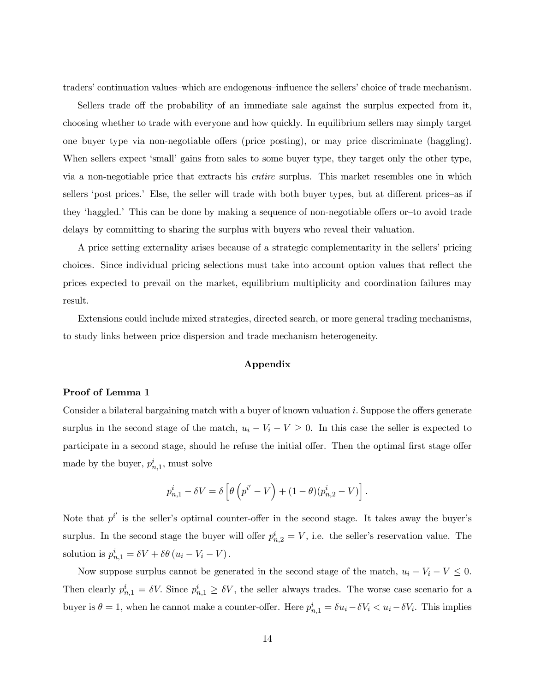traders' continuation values–which are endogenous–influence the sellers' choice of trade mechanism.

Sellers trade off the probability of an immediate sale against the surplus expected from it, choosing whether to trade with everyone and how quickly. In equilibrium sellers may simply target one buyer type via non-negotiable offers (price posting), or may price discriminate (haggling). When sellers expect 'small' gains from sales to some buyer type, they target only the other type, via a non-negotiable price that extracts his entire surplus. This market resembles one in which sellers 'post prices.' Else, the seller will trade with both buyer types, but at different prices–as if they 'haggled.' This can be done by making a sequence of non-negotiable offers or-to avoid trade delays-by committing to sharing the surplus with buyers who reveal their valuation.

A price setting externality arises because of a strategic complementarity in the sellersí pricing choices. Since individual pricing selections must take into account option values that reflect the prices expected to prevail on the market, equilibrium multiplicity and coordination failures may result.

Extensions could include mixed strategies, directed search, or more general trading mechanisms, to study links between price dispersion and trade mechanism heterogeneity.

#### Appendix

#### Proof of Lemma 1

Consider a bilateral bargaining match with a buyer of known valuation i. Suppose the offers generate surplus in the second stage of the match,  $u_i - V_i - V \geq 0$ . In this case the seller is expected to participate in a second stage, should he refuse the initial offer. Then the optimal first stage offer made by the buyer,  $p_{n,1}^i$ , must solve

$$
p_{n,1}^i - \delta V = \delta \left[ \theta \left( p^{i'} - V \right) + (1 - \theta) (p_{n,2}^i - V) \right].
$$

Note that  $p^{i'}$  is the seller's optimal counter-offer in the second stage. It takes away the buyer's surplus. In the second stage the buyer will offer  $p_{n,2}^i = V$ , i.e. the seller's reservation value. The solution is  $p_{n,1}^i = \delta V + \delta \theta (u_i - V_i - V)$ .

Now suppose surplus cannot be generated in the second stage of the match,  $u_i - V_i - V \leq 0$ . Then clearly  $p_{n,1}^i = \delta V$ . Since  $p_{n,1}^i \ge \delta V$ , the seller always trades. The worse case scenario for a buyer is  $\theta = 1$ , when he cannot make a counter-offer. Here  $p_{n,1}^i = \delta u_i - \delta V_i < u_i - \delta V_i$ . This implies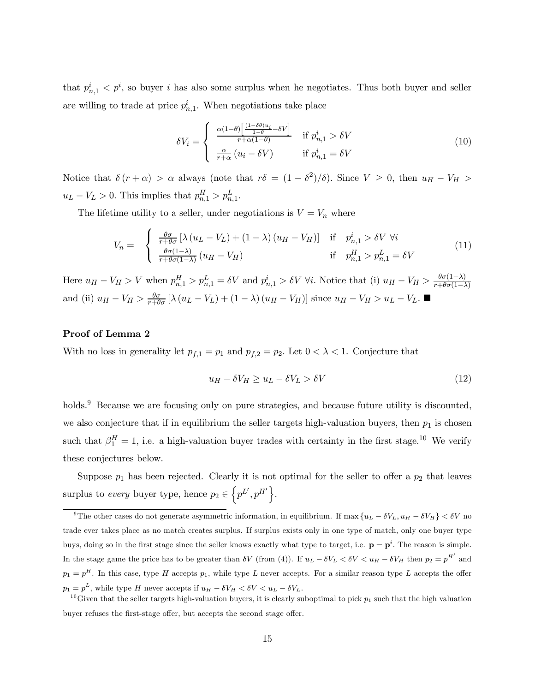that  $p_{n,1}^i < p^i$ , so buyer i has also some surplus when he negotiates. Thus both buyer and seller are willing to trade at price  $p_{n,1}^i$ . When negotiations take place

$$
\delta V_i = \begin{cases} \n\frac{\alpha (1-\theta) \left[ \frac{(1-\delta \theta) u_i}{1-\theta} - \delta V \right]}{r + \alpha (1-\theta)} & \text{if } p_{n,1}^i > \delta V \\
\frac{\alpha}{r + \alpha} (u_i - \delta V) & \text{if } p_{n,1}^i = \delta V\n\end{cases} \tag{10}
$$

Notice that  $\delta(r+\alpha) > \alpha$  always (note that  $r\delta = (1-\delta^2)/\delta$ ). Since  $V \geq 0$ , then  $u_H - V_H >$  $u_L - V_L > 0$ . This implies that  $p_{n,1}^H > p_{n,1}^L$ .

The lifetime utility to a seller, under negotiations is  $V = V_n$  where

$$
V_n = \begin{cases} \frac{\theta \sigma}{r + \theta \sigma} \left[ \lambda \left( u_L - V_L \right) + (1 - \lambda) \left( u_H - V_H \right) \right] & \text{if } p_{n,1}^i > \delta V \ \forall i \\ \frac{\theta \sigma (1 - \lambda)}{r + \theta \sigma (1 - \lambda)} \left( u_H - V_H \right) & \text{if } p_{n,1}^H > p_{n,1}^L = \delta V \end{cases}
$$
(11)

Here  $u_H - V_H > V$  when  $p_{n,1}^H > p_{n,1}^L = \delta V$  and  $p_{n,1}^i > \delta V$   $\forall i$ . Notice that (i)  $u_H - V_H > \frac{\theta \sigma(1-\lambda)}{r + \theta \sigma(1-\lambda)}$ and (ii)  $u_H - V_H > \frac{\theta \sigma}{r + \theta \sigma} [\lambda (u_L - V_L) + (1 - \lambda) (u_H - V_H)]$  since  $u_H - V_H > u_L - V_L$ .

#### Proof of Lemma 2

With no loss in generality let  $p_{f,1} = p_1$  and  $p_{f,2} = p_2$ . Let  $0 < \lambda < 1$ . Conjecture that

$$
u_H - \delta V_H \ge u_L - \delta V_L > \delta V \tag{12}
$$

holds.<sup>9</sup> Because we are focusing only on pure strategies, and because future utility is discounted. we also conjecture that if in equilibrium the seller targets high-valuation buyers, then  $p_1$  is chosen such that  $\beta_1^H = 1$ , i.e. a high-valuation buyer trades with certainty in the first stage.<sup>10</sup> We verify these conjectures below.

Suppose  $p_1$  has been rejected. Clearly it is not optimal for the seller to offer a  $p_2$  that leaves surplus to *every* buyer type, hence  $p_2 \in \left\{ p^L', p^{H'} \right\}$ .

<sup>&</sup>lt;sup>9</sup>The other cases do not generate asymmetric information, in equilibrium. If max  ${u_L - \delta V_L, u_H - \delta V_H} < \delta V$  no trade ever takes place as no match creates surplus. If surplus exists only in one type of match, only one buyer type buys, doing so in the first stage since the seller knows exactly what type to target, i.e.  $\mathbf{p} = \mathbf{p}^i$ . The reason is simple. In the stage game the price has to be greater than  $\delta V$  (from (4)). If  $u_L - \delta V_L < \delta V < u_H - \delta V_H$  then  $p_2 = p^{H'}$  and  $p_1 = p^H$ . In this case, type H accepts  $p_1$ , while type L never accepts. For a similar reason type L accepts the offer  $p_1 = p^L$ , while type H never accepts if  $u_H - \delta V_H < \delta V < u_L - \delta V_L$ .<br><sup>10</sup>Given that the seller targets high-valuation buyers, it is clearly suboptimal to pick  $p_1$  such that the high valuation

buyer refuses the first-stage offer, but accepts the second stage offer.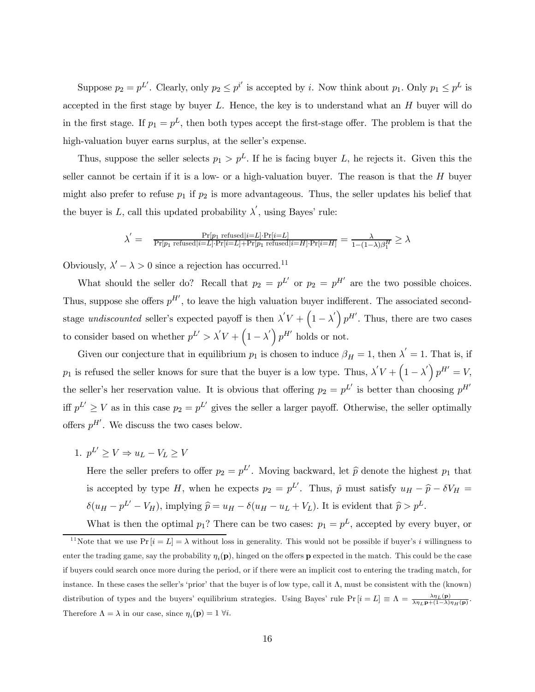Suppose  $p_2 = p^L'$ . Clearly, only  $p_2 \leq p^{i'}$  is accepted by *i*. Now think about  $p_1$ . Only  $p_1 \leq p^L$  is accepted in the first stage by buyer  $L$ . Hence, the key is to understand what an  $H$  buyer will do in the first stage. If  $p_1 = p^L$ , then both types accept the first-stage offer. The problem is that the high-valuation buyer earns surplus, at the seller's expense.

Thus, suppose the seller selects  $p_1 > p^L$ . If he is facing buyer L, he rejects it. Given this the seller cannot be certain if it is a low- or a high-valuation buyer. The reason is that the  $H$  buyer might also prefer to refuse  $p_1$  if  $p_2$  is more advantageous. Thus, the seller updates his belief that the buyer is L, call this updated probability  $\lambda'$ , using Bayes' rule:

$$
\lambda^{'} = \frac{\Pr[p_1 \text{ refused}|i=L] \cdot \Pr[i=L]}{\Pr[p_1 \text{ refused}|i=L] \cdot \Pr[i=L] + \Pr[p_1 \text{ refused}|i=H] \cdot \Pr[i=H]} = \frac{\lambda}{1 - (1 - \lambda)\beta_1^H} \geq \lambda
$$

Obviously,  $\lambda' - \lambda > 0$  since a rejection has occurred.<sup>11</sup>

What should the seller do? Recall that  $p_2 = p^L$  or  $p_2 = p^H$  are the two possible choices. Thus, suppose she offers  $p^{H'}$ , to leave the high valuation buyer indifferent. The associated secondstage undiscounted seller's expected payoff is then  $\lambda' V + (1 - \lambda') p^{H'}$ . Thus, there are two cases to consider based on whether  $p^{L'} > \lambda' V + (1 - \lambda') p^{H'}$  holds or not.

Given our conjecture that in equilibrium  $p_1$  is chosen to induce  $\beta_H = 1$ , then  $\lambda' = 1$ . That is, if  $p_1$  is refused the seller knows for sure that the buyer is a low type. Thus,  $\lambda' V + (1 - \lambda') p^{H'} = V$ , the seller's her reservation value. It is obvious that offering  $p_2 = p^L$  is better than choosing  $p^H$ iff  $p^{L'} \geq V$  as in this case  $p_2 = p^{L'}$  gives the seller a larger payoff. Otherwise, the seller optimally offers  $p^{H'}$ . We discuss the two cases below.

1.  $p^L' \ge V \Rightarrow u_L - V_L \ge V$ 

Here the seller prefers to offer  $p_2 = p^L'$ . Moving backward, let  $\hat{p}$  denote the highest  $p_1$  that is accepted by type H, when he expects  $p_2 = p^L$ . Thus,  $\hat{p}$  must satisfy  $u_H - \hat{p} - \delta V_H =$  $\delta(u_H - p^{L'} - V_H)$ , implying  $\hat{p} = u_H - \delta(u_H - u_L + V_L)$ . It is evident that  $\hat{p} > p^L$ .

What is then the optimal  $p_1$ ? There can be two cases:  $p_1 = p^L$ , accepted by every buyer, or <sup>11</sup>Note that we use  $Pr[i = L] = \lambda$  without loss in generality. This would not be possible if buyer's i willingness to enter the trading game, say the probability  $\eta_i(\mathbf{p})$ , hinged on the offers **p** expected in the match. This could be the case if buyers could search once more during the period, or if there were an implicit cost to entering the trading match, for instance. In these cases the seller's 'prior' that the buyer is of low type, call it  $\Lambda$ , must be consistent with the (known) distribution of types and the buyers' equilibrium strategies. Using Bayes' rule  $Pr[i=L] \equiv \Lambda = \frac{\lambda \eta_L(\mathbf{p})}{\lambda \eta_L(\mathbf{p}) + (1-\lambda)\eta_H(\mathbf{p})}$ . Therefore  $\Lambda = \lambda$  in our case, since  $\eta_i(\mathbf{p})=1$   $\forall i$ .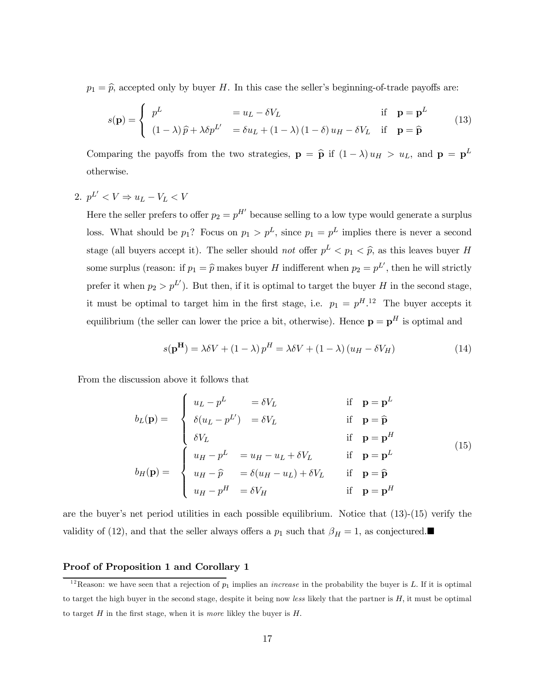$p_1 = \hat{p}$ , accepted only by buyer H. In this case the seller's beginning-of-trade payoffs are:

$$
s(\mathbf{p}) = \begin{cases} p^{L} & = u_{L} - \delta V_{L} & \text{if } \mathbf{p} = \mathbf{p}^{L} \\ (1 - \lambda)\hat{p} + \lambda \delta p^{L'} & = \delta u_{L} + (1 - \lambda)(1 - \delta) u_{H} - \delta V_{L} & \text{if } \mathbf{p} = \hat{\mathbf{p}} \end{cases}
$$
(13)

Comparing the payoffs from the two strategies,  $\mathbf{p} = \hat{\mathbf{p}}$  if  $(1 - \lambda) u_H > u_L$ , and  $\mathbf{p} = \mathbf{p}^L$ otherwise.

### 2.  $p^{L'} < V \Rightarrow u_L - V_L < V$

Here the seller prefers to offer  $p_2 = p^{H'}$  because selling to a low type would generate a surplus loss. What should be  $p_1$ ? Focus on  $p_1 > p^L$ , since  $p_1 = p^L$  implies there is never a second stage (all buyers accept it). The seller should not offer  $p<sup>L</sup> < p<sub>1</sub> < \hat{p}$ , as this leaves buyer H some surplus (reason: if  $p_1 = \hat{p}$  makes buyer H indifferent when  $p_2 = p^L$ , then he will strictly prefer it when  $p_2 > p^L$ ). But then, if it is optimal to target the buyer H in the second stage, it must be optimal to target him in the first stage, i.e.  $p_1 = p^{H.12}$  The buyer accepts it equilibrium (the seller can lower the price a bit, otherwise). Hence  $\mathbf{p} = \mathbf{p}^H$  is optimal and

$$
s(\mathbf{p}^{\mathbf{H}}) = \lambda \delta V + (1 - \lambda) p^H = \lambda \delta V + (1 - \lambda) (u_H - \delta V_H)
$$
 (14)

From the discussion above it follows that

$$
b_L(\mathbf{p}) = \begin{cases} u_L - p^L &= \delta V_L & \text{if } \mathbf{p} = \mathbf{p}^L \\ \delta(u_L - p^L') &= \delta V_L & \text{if } \mathbf{p} = \hat{\mathbf{p}} \\ \delta V_L & \text{if } \mathbf{p} = \mathbf{p}^H \\ u_H - p^L &= u_H - u_L + \delta V_L & \text{if } \mathbf{p} = \mathbf{p}^L \\ u_H - \hat{p} &= \delta(u_H - u_L) + \delta V_L & \text{if } \mathbf{p} = \hat{\mathbf{p}} \\ u_H - p^H &= \delta V_H & \text{if } \mathbf{p} = \mathbf{p}^H \end{cases} \tag{15}
$$

are the buyer's net period utilities in each possible equilibrium. Notice that  $(13)-(15)$  verify the validity of (12), and that the seller always offers a  $p_1$  such that  $\beta_H = 1$ , as conjectured.

#### Proof of Proposition 1 and Corollary 1

<sup>&</sup>lt;sup>12</sup>Reason: we have seen that a rejection of  $p_1$  implies an *increase* in the probability the buyer is L. If it is optimal to target the high buyer in the second stage, despite it being now less likely that the partner is H, it must be optimal to target  $H$  in the first stage, when it is *more* likley the buyer is  $H$ .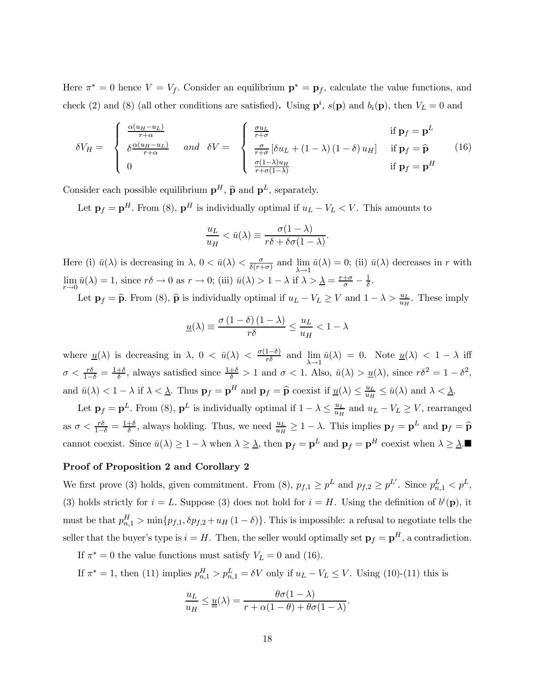Here  $\pi^* = 0$  hence  $V = V_f$ . Consider an equilibrium  $\mathbf{p}^* = \mathbf{p}_f$ , calculate the value functions, and check (2) and (8) (all other conditions are satisfied). Using  $\mathbf{p}^i$ ,  $s(\mathbf{p})$  and  $b_i(\mathbf{p})$ , then  $V_L = 0$  and

$$
\delta V_H = \begin{cases}\n\frac{\alpha (u_H - u_L)}{r + \alpha} & \text{and} \quad \delta V = \begin{cases}\n\frac{\sigma u_L}{r + \sigma} & \text{if } \mathbf{p}_f = \mathbf{p}^L \\
\frac{\sigma}{r + \sigma} \left[ \delta u_L + (1 - \lambda) (1 - \delta) u_H \right] & \text{if } \mathbf{p}_f = \hat{\mathbf{p}} \\
0 & \text{if } \mathbf{p}_f = \mathbf{p}^H\n\end{cases}
$$
\n(16)

Consider each possible equilibrium  $\mathbf{p}^H$ ,  $\widehat{\mathbf{p}}$  and  $\mathbf{p}^L$ , separately.

Let  $\mathbf{p}_f = \mathbf{p}^H$ . From (8),  $\mathbf{p}^H$  is individually optimal if  $u_L - V_L < V$ . This amounts to

$$
\frac{u_L}{u_H} < \bar{u}(\lambda) \equiv \frac{\sigma(1-\lambda)}{r\delta + \delta\sigma(1-\lambda)}.
$$

Here (i)  $\bar{u}(\lambda)$  is decreasing in  $\lambda$ ,  $0 < \bar{u}(\lambda) < \frac{\sigma}{\delta(r+\sigma)}$  and  $\lim_{\lambda \to 1}$  $\bar{u}(\lambda)=0$ ; (ii)  $\bar{u}(\lambda)$  decreases in r with lim  $\lim_{r\to 0} \bar{u}(\lambda) = 1$ , since  $r\delta \to 0$  as  $r \to 0$ ; (iii)  $\bar{u}(\lambda) > 1 - \lambda$  if  $\lambda > \lambda = \frac{r+\sigma}{\sigma} - \frac{1}{\delta}$ .

Let  $\mathbf{p}_f = \widehat{\mathbf{p}}$ . From (8),  $\widehat{\mathbf{p}}$  is individually optimal if  $u_L - V_L \geq V$  and  $1 - \lambda > \frac{u_L}{u_H}$ . These imply

$$
\underline{u}(\lambda) \equiv \frac{\sigma(1-\delta)(1-\lambda)}{r\delta} \le \frac{u_L}{u_H} < 1 - \lambda
$$

where  $\underline{u}(\lambda)$  is decreasing in  $\lambda$ ,  $0 < \bar{u}(\lambda) < \frac{\sigma(1-\delta)}{r\delta}$  and  $\lim_{\lambda \to 1} \bar{u}(\lambda) = 0$ . Note  $\underline{u}(\lambda) < 1 - \lambda$  iff  $\sigma < \frac{r\delta}{1-\delta} = \frac{1+\delta}{\delta}$ , always satisfied since  $\frac{1+\delta}{\delta} > 1$  and  $\sigma < 1$ . Also,  $\bar{u}(\lambda) > u(\lambda)$ , since  $r\delta^2 = 1 - \delta^2$ , and  $\bar{u}(\lambda) < 1 - \lambda$  if  $\lambda < \underline{\lambda}$ . Thus  $\mathbf{p}_f = \mathbf{p}^H$  and  $\mathbf{p}_f = \widehat{\mathbf{p}}$  coexist if  $\underline{u}(\lambda) \le \frac{u_L}{u_H} \le \bar{u}(\lambda)$  and  $\lambda < \underline{\lambda}$ .

Let  $\mathbf{p}_f = \mathbf{p}^L$ . From (8),  $\mathbf{p}^L$  is individually optimal if  $1 - \lambda \leq \frac{u_L}{u_H}$  and  $u_L - V_L \geq V$ , rearranged as  $\sigma < \frac{r\delta}{1-\delta} = \frac{1+\delta}{\delta}$ , always holding. Thus, we need  $\frac{u_L}{u_H} \ge 1 - \lambda$ . This implies  $\mathbf{p}_f = \mathbf{p}^L$  and  $\mathbf{p}_f = \widehat{\mathbf{p}}$ cannot coexist. Since  $\bar{u}(\lambda) \geq 1 - \lambda$  when  $\lambda \geq \underline{\lambda}$ , then  $\mathbf{p}_f = \mathbf{p}^L$  and  $\mathbf{p}_f = \mathbf{p}^H$  coexist when  $\lambda \geq \underline{\lambda}$ .

#### Proof of Proposition 2 and Corollary 2

We first prove (3) holds, given commitment. From (8),  $p_{f,1} \geq p^L$  and  $p_{f,2} \geq p^{L'}$ . Since  $p_{n,1}^L < p^L$ , (3) holds strictly for  $i = L$ . Suppose (3) does not hold for  $i = H$ . Using the definition of  $b^{i}(\mathbf{p})$ , it must be that  $p_{n,1}^H > \min\{p_{f,1}, \delta p_{f,2} + u_H(1-\delta)\}\)$ . This is impossible: a refusal to negotiate tells the seller that the buyer's type is  $i = H$ . Then, the seller would optimally set  $\mathbf{p}_f = \mathbf{p}^H$ , a contradiction.

If  $\pi^* = 0$  the value functions must satisfy  $V_L = 0$  and (16).

If  $\pi^* = 1$ , then (11) implies  $p_{n,1}^H > p_{n,1}^L = \delta V$  only if  $u_L - V_L \leq V$ . Using (10)-(11) this is

$$
\frac{u_L}{u_H} \leq \underline{u}(\lambda) = \frac{\theta \sigma (1 - \lambda)}{r + \alpha (1 - \theta) + \theta \sigma (1 - \lambda)}.
$$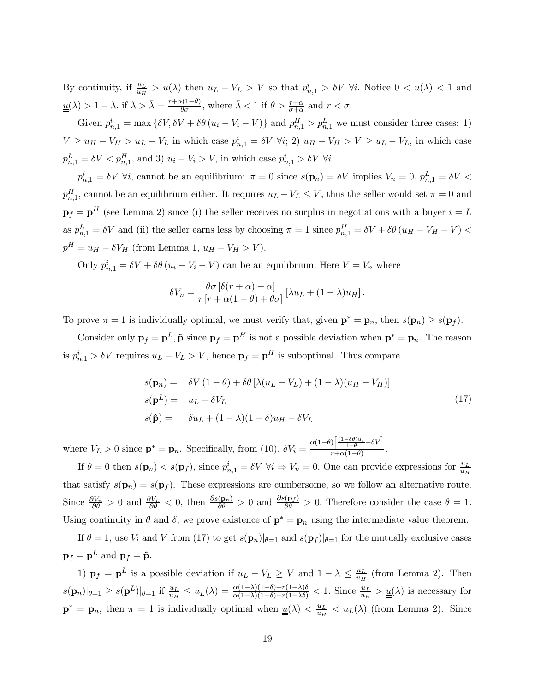By continuity, if  $\frac{u_L}{u_H} > \underline{u}(\lambda)$  then  $u_L - V_L > V$  so that  $p_{n,1}^i > \delta V$   $\forall i$ . Notice  $0 < \underline{u}(\lambda) < 1$  and  $\underline{u}(\lambda) > 1 - \lambda$ . if  $\lambda > \overline{\lambda} = \frac{r + \alpha(1-\theta)}{\theta \sigma}$ , where  $\overline{\lambda} < 1$  if  $\theta > \frac{r+\alpha}{\sigma+\alpha}$  and  $r < \sigma$ .

Given  $p_{n,1}^i = \max \{ \delta V, \delta V + \delta \theta (u_i - V_i - V) \}$  and  $p_{n,1}^H > p_{n,1}^L$  we must consider three cases: 1)  $V \geq u_H - V_H > u_L - V_L$  in which case  $p_{n,1}^i = \delta V$   $\forall i; 2$ )  $u_H - V_H > V \geq u_L - V_L$ , in which case  $p_{n,1}^L = \delta V \langle p_{n,1}^H$ , and 3)  $u_i - V_i > V$ , in which case  $p_{n,1}^i > \delta V$   $\forall i$ .

 $p_{n,1}^i = \delta V$   $\forall i$ , cannot be an equilibrium:  $\pi = 0$  since  $s(\mathbf{p}_n) = \delta V$  implies  $V_n = 0$ .  $p_{n,1}^L = \delta V$  $p_{n,1}^H$ , cannot be an equilibrium either. It requires  $u_L - V_L \leq V$ , thus the seller would set  $\pi = 0$  and  $\mathbf{p}_f = \mathbf{p}^H$  (see Lemma 2) since (i) the seller receives no surplus in negotiations with a buyer  $i = L$ as  $p_{n,1}^L = \delta V$  and (ii) the seller earns less by choosing  $\pi = 1$  since  $p_{n,1}^H = \delta V + \delta \theta (u_H - V_H - V)$  $p^H = u_H - \delta V_H$  (from Lemma 1,  $u_H - V_H > V$ ).

Only  $p_{n,1}^i = \delta V + \delta \theta (u_i - V_i - V)$  can be an equilibrium. Here  $V = V_n$  where

$$
\delta V_n = \frac{\theta \sigma \left[ \delta(r+\alpha) - \alpha \right]}{r \left[ r + \alpha(1-\theta) + \theta \sigma \right]} \left[ \lambda u_L + (1-\lambda) u_H \right].
$$

To prove  $\pi = 1$  is individually optimal, we must verify that, given  $\mathbf{p}^* = \mathbf{p}_n$ , then  $s(\mathbf{p}_n) \geq s(\mathbf{p}_f)$ .

Consider only  $\mathbf{p}_f = \mathbf{p}^L$ ,  $\hat{\mathbf{p}}$  since  $\mathbf{p}_f = \mathbf{p}^H$  is not a possible deviation when  $\mathbf{p}^* = \mathbf{p}_n$ . The reason is  $p_{n,1}^i > \delta V$  requires  $u_L - V_L > V$ , hence  $\mathbf{p}_f = \mathbf{p}^H$  is suboptimal. Thus compare

$$
s(\mathbf{p}_n) = \delta V (1 - \theta) + \delta \theta \left[ \lambda (u_L - V_L) + (1 - \lambda)(u_H - V_H) \right]
$$
  
\n
$$
s(\mathbf{p}^L) = u_L - \delta V_L
$$
  
\n
$$
s(\hat{\mathbf{p}}) = \delta u_L + (1 - \lambda)(1 - \delta)u_H - \delta V_L
$$
\n(17)

where  $V_L > 0$  since  $\mathbf{p}^* = \mathbf{p}_n$ . Specifically, from (10),  $\delta V_i = \frac{\alpha(1-\theta)\left[\frac{(1-\delta\theta)u_i}{1-\theta} - \delta V\right]}{r+\alpha(1-\theta)}$  $\frac{r_1-1-\theta}{r+\alpha(1-\theta)}$ .

If  $\theta = 0$  then  $s(\mathbf{p}_n) < s(\mathbf{p}_f)$ , since  $p_{n,1}^i = \delta V \ \forall i \Rightarrow V_n = 0$ . One can provide expressions for  $\frac{u_L}{u_H}$ that satisfy  $s(\mathbf{p}_n) = s(\mathbf{p}_f)$ . These expressions are cumbersome, so we follow an alternative route. Since  $\frac{\partial V_n}{\partial \theta} > 0$  and  $\frac{\partial V_L}{\partial \theta} < 0$ , then  $\frac{\partial s(\mathbf{p}_n)}{\partial \theta} > 0$  and  $\frac{\partial s(\mathbf{p}_f)}{\partial \theta} > 0$ . Therefore consider the case  $\theta = 1$ . Using continuity in  $\theta$  and  $\delta$ , we prove existence of  $\mathbf{p}^* = \mathbf{p}_n$  using the intermediate value theorem.

If  $\theta = 1$ , use  $V_i$  and V from (17) to get  $s(\mathbf{p}_n)|_{\theta=1}$  and  $s(\mathbf{p}_f)|_{\theta=1}$  for the mutually exclusive cases  $\mathbf{p}_f = \mathbf{p}^L$  and  $\mathbf{p}_f = \hat{\mathbf{p}}$ .

1)  $\mathbf{p}_f = \mathbf{p}^L$  is a possible deviation if  $u_L - V_L \geq V$  and  $1 - \lambda \leq \frac{u_L}{u_H}$  (from Lemma 2). Then  $s(\mathbf{p}_n)|_{\theta=1} \geq s(\mathbf{p}^L)|_{\theta=1}$  if  $\frac{u_L}{u_H} \leq u_L(\lambda) = \frac{\alpha(1-\lambda)(1-\delta) + r(1-\lambda)\delta}{\alpha(1-\lambda)(1-\delta) + r(1-\lambda)\delta} < 1$ . Since  $\frac{u_L}{u_H} > \underline{u}(\lambda)$  is necessary for  $\mathbf{p}^* = \mathbf{p}_n$ , then  $\pi = 1$  is individually optimal when  $\underline{u}(\lambda) < \frac{u_L}{u_H} < u_L(\lambda)$  (from Lemma 2). Since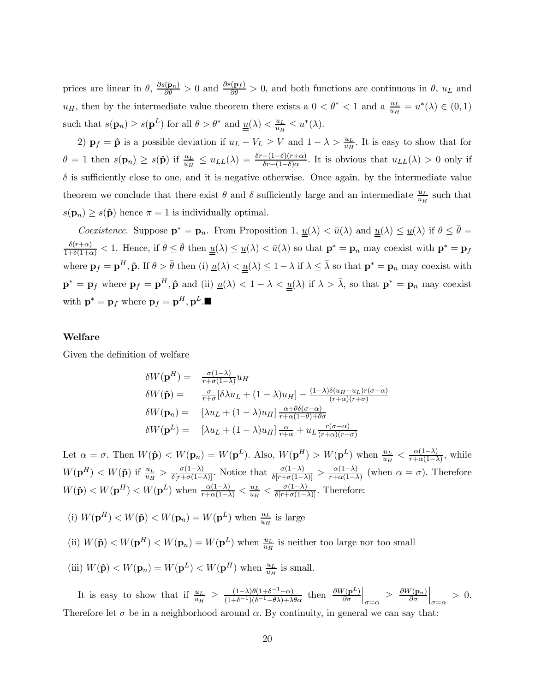prices are linear in  $\theta$ ,  $\frac{\partial s(\mathbf{p}_n)}{\partial \theta} > 0$  and  $\frac{\partial s(\mathbf{p}_f)}{\partial \theta} > 0$ , and both functions are continuous in  $\theta$ ,  $u_L$  and  $u_H$ , then by the intermediate value theorem there exists a  $0 < \theta^* < 1$  and a  $\frac{u_L}{u_H} = u^*(\lambda) \in (0,1)$ such that  $s(\mathbf{p}_n) \geq s(\mathbf{p}^L)$  for all  $\theta > \theta^*$  and  $\underline{u}(\lambda) < \frac{u_L}{u_H} \leq u^*(\lambda)$ .

2)  $\mathbf{p}_f = \hat{\mathbf{p}}$  is a possible deviation if  $u_L - V_L \geq V$  and  $1 - \lambda > \frac{u_L}{u_H}$ . It is easy to show that for  $\theta = 1$  then  $s(\mathbf{p}_n) \geq s(\hat{\mathbf{p}})$  if  $\frac{u_L}{u_H} \leq u_{LL}(\lambda) = \frac{\delta r - (1-\delta)(r+\alpha)}{\delta r - (1-\delta)\alpha}$ . It is obvious that  $u_{LL}(\lambda) > 0$  only if  $\delta$  is sufficiently close to one, and it is negative otherwise. Once again, by the intermediate value theorem we conclude that there exist  $\theta$  and  $\delta$  sufficiently large and an intermediate  $\frac{u_L}{u_H}$  such that  $s(\mathbf{p}_n) \geq s(\hat{\mathbf{p}})$  hence  $\pi = 1$  is individually optimal.

*Coexistence.* Suppose  $\mathbf{p}^* = \mathbf{p}_n$ . From Proposition 1,  $\underline{u}(\lambda) < \overline{u}(\lambda)$  and  $\underline{u}(\lambda) \le \underline{u}(\lambda)$  if  $\theta \le \overline{\theta} =$  $\frac{\delta(r+\alpha)}{1+\delta(1+\alpha)} < 1$ . Hence, if  $\theta \leq \bar{\theta}$  then  $\underline{u}(\lambda) \leq \underline{u}(\lambda) < \bar{u}(\lambda)$  so that  $\mathbf{p}^* = \mathbf{p}_n$  may coexist with  $\mathbf{p}^* = \mathbf{p}_f$ where  $\mathbf{p}_f = \mathbf{p}^H$ ,  $\hat{\mathbf{p}}$ . If  $\theta > \bar{\theta}$  then (i)  $\underline{u}(\lambda) < \underline{u}(\lambda) \leq 1 - \lambda$  if  $\lambda \leq \bar{\lambda}$  so that  $\mathbf{p}^* = \mathbf{p}_n$  may coexist with  $\mathbf{p}^* = \mathbf{p}_f$  where  $\mathbf{p}_f = \mathbf{p}^H$ ,  $\hat{\mathbf{p}}$  and (ii)  $\underline{u}(\lambda) < 1 - \lambda < \underline{u}(\lambda)$  if  $\lambda > \overline{\lambda}$ , so that  $\mathbf{p}^* = \mathbf{p}_n$  may coexist with  $\mathbf{p}^* = \mathbf{p}_f$  where  $\mathbf{p}_f = \mathbf{p}^H, \mathbf{p}^L$ .

#### Welfare

Given the definition of welfare

$$
\delta W(\mathbf{p}^{H}) = \frac{\sigma(1-\lambda)}{r+\sigma(1-\lambda)} u_{H}
$$
  
\n
$$
\delta W(\hat{\mathbf{p}}) = \frac{\sigma}{r+\sigma} [\delta \lambda u_{L} + (1-\lambda)u_{H}] - \frac{(1-\lambda)\delta(u_{H}-u_{L})r(\sigma-\alpha)}{(r+\alpha)(r+\sigma)}
$$
  
\n
$$
\delta W(\mathbf{p}_{n}) = [\lambda u_{L} + (1-\lambda)u_{H}] \frac{\alpha + \theta \delta(\sigma-\alpha)}{r+\alpha(1-\theta)+\theta \sigma}
$$
  
\n
$$
\delta W(\mathbf{p}^{L}) = [\lambda u_{L} + (1-\lambda)u_{H}] \frac{\alpha}{r+\alpha} + u_{L} \frac{r(\sigma-\alpha)}{(r+\alpha)(r+\sigma)}
$$

Let  $\alpha = \sigma$ . Then  $W(\hat{\mathbf{p}}) < W(\mathbf{p}_n) = W(\mathbf{p}^L)$ . Also,  $W(\mathbf{p}^H) > W(\mathbf{p}^L)$  when  $\frac{u_L}{u_H} < \frac{\alpha(1-\lambda)}{r+\alpha(1-\lambda)}$ , while  $W(\mathbf{p}^H) < W(\hat{\mathbf{p}})$  if  $\frac{u_L}{u_H} > \frac{\sigma(1-\lambda)}{\delta[r+\sigma(1-\lambda)]}$ . Notice that  $\frac{\sigma(1-\lambda)}{\delta[r+\sigma(1-\lambda)]} > \frac{\alpha(1-\lambda)}{r+\alpha(1-\lambda)}$  (when  $\alpha = \sigma$ ). Therefore  $W(\hat{\mathbf{p}}) < W(\mathbf{p}^H) < W(\mathbf{p}^L)$  when  $\frac{\alpha(1-\lambda)}{r+\alpha(1-\lambda)} < \frac{u_L}{u_H} < \frac{\sigma(1-\lambda)}{\delta[r+\sigma(1-\lambda)]}$ . Therefore:

(i)  $W(\mathbf{p}^H) < W(\hat{\mathbf{p}}) < W(\mathbf{p}_n) = W(\mathbf{p}^L)$  when  $\frac{u_L}{u_H}$  is large

(ii)  $W(\hat{\mathbf{p}}) < W(\mathbf{p}^H) < W(\mathbf{p}_n) = W(\mathbf{p}^L)$  when  $\frac{u_L}{u_H}$  is neither too large nor too small

(iii) 
$$
W(\hat{\mathbf{p}}) < W(\mathbf{p}_n) = W(\mathbf{p}^L) < W(\mathbf{p}^H)
$$
 when  $\frac{u_L}{u_H}$  is small.

It is easy to show that if  $\frac{u_L}{u_H} \geq \frac{(1-\lambda)\theta(1+\delta^{-1}-\alpha)}{(1+\delta^{-1})(\delta^{-1}-\theta\lambda)+\lambda\theta\alpha}$  then  $\frac{\partial W(\mathbf{p}^L)}{\partial \sigma}$  $\Big|_{\sigma=\alpha} \ \geq \ \frac{\partial W(\mathbf{p}_n)}{\partial \sigma}$  $\Big|_{\sigma=\alpha} > 0.$ Therefore let  $\sigma$  be in a neighborhood around  $\alpha$ . By continuity, in general we can say that: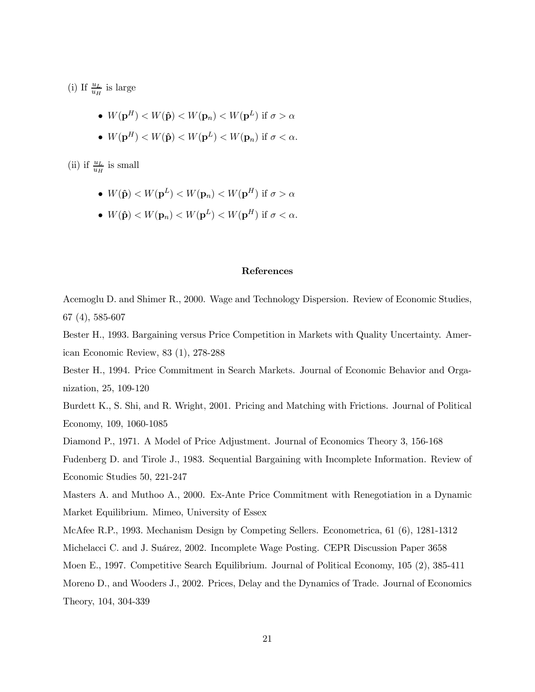(i) If  $\frac{u_L}{u_H}$  is large

• 
$$
W(\mathbf{p}^H) < W(\hat{\mathbf{p}}) < W(\mathbf{p}_n) < W(\mathbf{p}^L)
$$
 if  $\sigma > \alpha$ 

•  $W(\mathbf{p}^H) < W(\hat{\mathbf{p}}) < W(\mathbf{p}^L) < W(\mathbf{p}_n)$  if  $\sigma < \alpha$ .

(ii) if  $\frac{u_L}{u_H}$  is small

- $W(\hat{\mathbf{p}}) < W(\mathbf{p}^L) < W(\mathbf{p}_n) < W(\mathbf{p}^H)$  if  $\sigma > \alpha$
- $W(\hat{\mathbf{p}}) < W(\mathbf{p}_n) < W(\mathbf{p}^L) < W(\mathbf{p}^H)$  if  $\sigma < \alpha$ .

#### References

Acemoglu D. and Shimer R., 2000. Wage and Technology Dispersion. Review of Economic Studies, 67 (4), 585-607

Bester H., 1993. Bargaining versus Price Competition in Markets with Quality Uncertainty. American Economic Review, 83 (1), 278-288

Bester H., 1994. Price Commitment in Search Markets. Journal of Economic Behavior and Organization, 25, 109-120

Burdett K., S. Shi, and R. Wright, 2001. Pricing and Matching with Frictions. Journal of Political Economy, 109, 1060-1085

Diamond P., 1971. A Model of Price Adjustment. Journal of Economics Theory 3, 156-168

Fudenberg D. and Tirole J., 1983. Sequential Bargaining with Incomplete Information. Review of Economic Studies 50, 221-247

Masters A. and Muthoo A., 2000. Ex-Ante Price Commitment with Renegotiation in a Dynamic Market Equilibrium. Mimeo, University of Essex

McAfee R.P., 1993. Mechanism Design by Competing Sellers. Econometrica, 61 (6), 1281-1312

Michelacci C. and J. Suárez, 2002. Incomplete Wage Posting. CEPR Discussion Paper 3658

Moen E., 1997. Competitive Search Equilibrium. Journal of Political Economy, 105 (2), 385-411

Moreno D., and Wooders J., 2002. Prices, Delay and the Dynamics of Trade. Journal of Economics Theory, 104, 304-339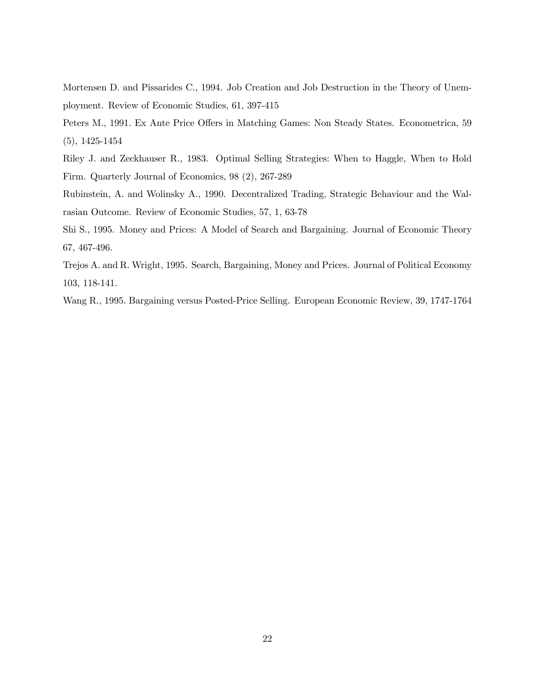Mortensen D. and Pissarides C., 1994. Job Creation and Job Destruction in the Theory of Unemployment. Review of Economic Studies, 61, 397-415

- Peters M., 1991. Ex Ante Price Offers in Matching Games: Non Steady States. Econometrica, 59 (5), 1425-1454
- Riley J. and Zeckhauser R., 1983. Optimal Selling Strategies: When to Haggle, When to Hold Firm. Quarterly Journal of Economics, 98 (2), 267-289
- Rubinstein, A. and Wolinsky A., 1990. Decentralized Trading, Strategic Behaviour and the Walrasian Outcome. Review of Economic Studies, 57, 1, 63-78
- Shi S., 1995. Money and Prices: A Model of Search and Bargaining. Journal of Economic Theory 67, 467-496.
- Trejos A. and R. Wright, 1995. Search, Bargaining, Money and Prices. Journal of Political Economy 103, 118-141.
- Wang R., 1995. Bargaining versus Posted-Price Selling. European Economic Review, 39, 1747-1764